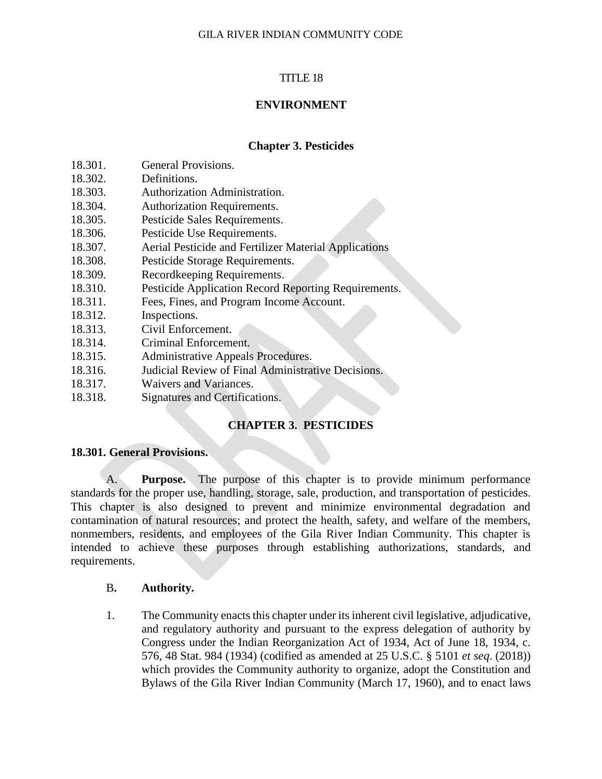# TITLE 18

# **ENVIRONMENT**

# **Chapter 3. Pesticides**

- 18.301. General Provisions.
- 18.302. Definitions.
- 18.303. Authorization Administration.
- 18.304. Authorization Requirements.
- 18.305. Pesticide Sales Requirements.
- 18.306. Pesticide Use Requirements.
- 18.307. Aerial Pesticide and Fertilizer Material Applications
- 18.308. Pesticide Storage Requirements.
- 18.309. Recordkeeping Requirements.
- 18.310. Pesticide Application Record Reporting Requirements.
- 18.311. Fees, Fines, and Program Income Account.
- 18.312. Inspections.
- 18.313. Civil Enforcement.
- 18.314. Criminal Enforcement.
- 18.315. Administrative Appeals Procedures.
- 18.316. Judicial Review of Final Administrative Decisions.
- 18.317. Waivers and Variances.
- 18.318. Signatures and Certifications.

# **CHAPTER 3. PESTICIDES**

## **18.301. General Provisions.**

A. **Purpose.** The purpose of this chapter is to provide minimum performance standards for the proper use, handling, storage, sale, production, and transportation of pesticides. This chapter is also designed to prevent and minimize environmental degradation and contamination of natural resources; and protect the health, safety, and welfare of the members, nonmembers, residents, and employees of the Gila River Indian Community. This chapter is intended to achieve these purposes through establishing authorizations, standards, and requirements.

## B**. Authority.**

1. The Community enacts this chapter under its inherent civil legislative, adjudicative, and regulatory authority and pursuant to the express delegation of authority by Congress under the Indian Reorganization Act of 1934, Act of June 18, 1934, c. 576, 48 Stat. 984 (1934) (codified as amended at 25 U.S.C. § 5101 *et seq*. (2018)) which provides the Community authority to organize, adopt the Constitution and Bylaws of the Gila River Indian Community (March 17, 1960), and to enact laws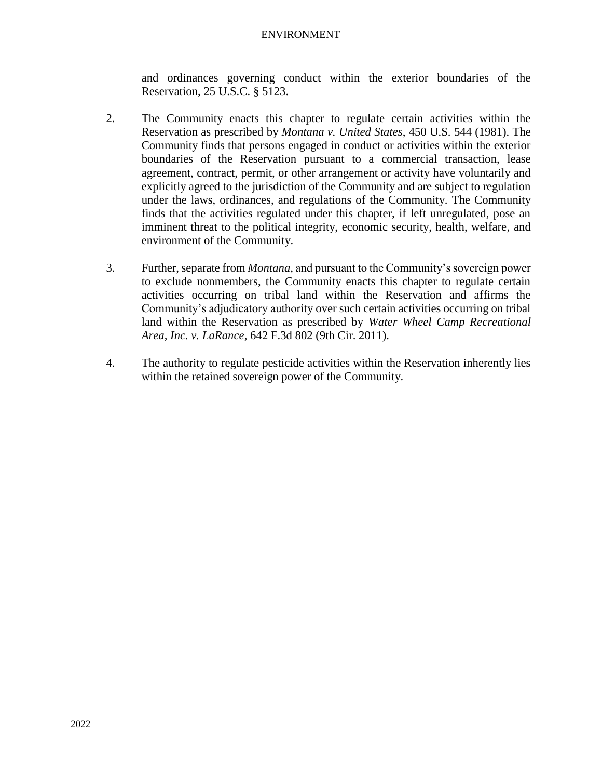and ordinances governing conduct within the exterior boundaries of the Reservation, 25 U.S.C. § 5123.

- 2. The Community enacts this chapter to regulate certain activities within the Reservation as prescribed by *Montana v. United States*, 450 U.S. 544 (1981). The Community finds that persons engaged in conduct or activities within the exterior boundaries of the Reservation pursuant to a commercial transaction, lease agreement, contract, permit, or other arrangement or activity have voluntarily and explicitly agreed to the jurisdiction of the Community and are subject to regulation under the laws, ordinances, and regulations of the Community. The Community finds that the activities regulated under this chapter, if left unregulated, pose an imminent threat to the political integrity, economic security, health, welfare, and environment of the Community.
- 3. Further, separate from *Montana,* and pursuant to the Community's sovereign power to exclude nonmembers, the Community enacts this chapter to regulate certain activities occurring on tribal land within the Reservation and affirms the Community's adjudicatory authority over such certain activities occurring on tribal land within the Reservation as prescribed by *Water Wheel Camp Recreational Area, Inc. v. LaRance*, 642 F.3d 802 (9th Cir. 2011).
- 4. The authority to regulate pesticide activities within the Reservation inherently lies within the retained sovereign power of the Community.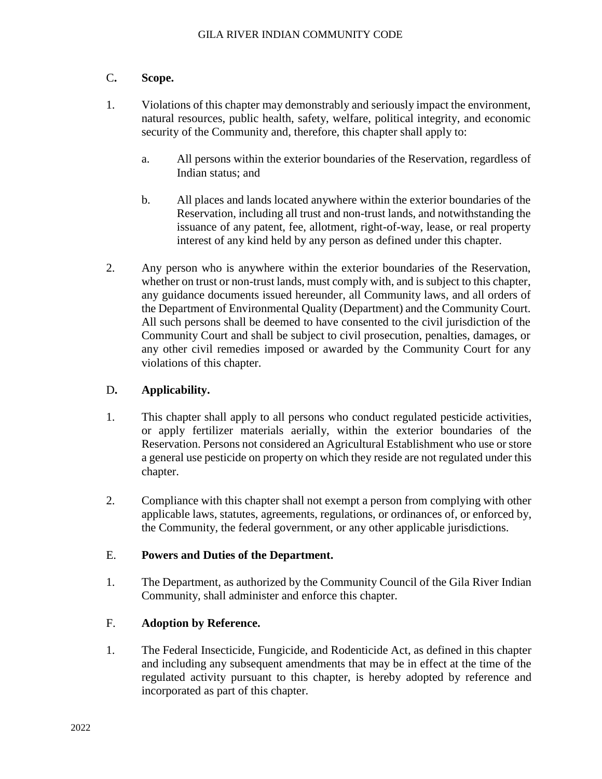# C**. Scope.**

- 1. Violations of this chapter may demonstrably and seriously impact the environment, natural resources, public health, safety, welfare, political integrity, and economic security of the Community and, therefore, this chapter shall apply to:
	- a. All persons within the exterior boundaries of the Reservation, regardless of Indian status; and
	- b. All places and lands located anywhere within the exterior boundaries of the Reservation, including all trust and non-trust lands, and notwithstanding the issuance of any patent, fee, allotment, right-of-way, lease, or real property interest of any kind held by any person as defined under this chapter.
- 2. Any person who is anywhere within the exterior boundaries of the Reservation, whether on trust or non-trust lands, must comply with, and is subject to this chapter, any guidance documents issued hereunder, all Community laws, and all orders of the Department of Environmental Quality (Department) and the Community Court. All such persons shall be deemed to have consented to the civil jurisdiction of the Community Court and shall be subject to civil prosecution, penalties, damages, or any other civil remedies imposed or awarded by the Community Court for any violations of this chapter.

# D**. Applicability.**

- 1. This chapter shall apply to all persons who conduct regulated pesticide activities, or apply fertilizer materials aerially, within the exterior boundaries of the Reservation. Persons not considered an Agricultural Establishment who use or store a general use pesticide on property on which they reside are not regulated under this chapter.
- 2. Compliance with this chapter shall not exempt a person from complying with other applicable laws, statutes, agreements, regulations, or ordinances of, or enforced by, the Community, the federal government, or any other applicable jurisdictions.

# E. **Powers and Duties of the Department.**

1. The Department, as authorized by the Community Council of the Gila River Indian Community, shall administer and enforce this chapter.

# F. **Adoption by Reference.**

1. The Federal Insecticide, Fungicide, and Rodenticide Act, as defined in this chapter and including any subsequent amendments that may be in effect at the time of the regulated activity pursuant to this chapter, is hereby adopted by reference and incorporated as part of this chapter.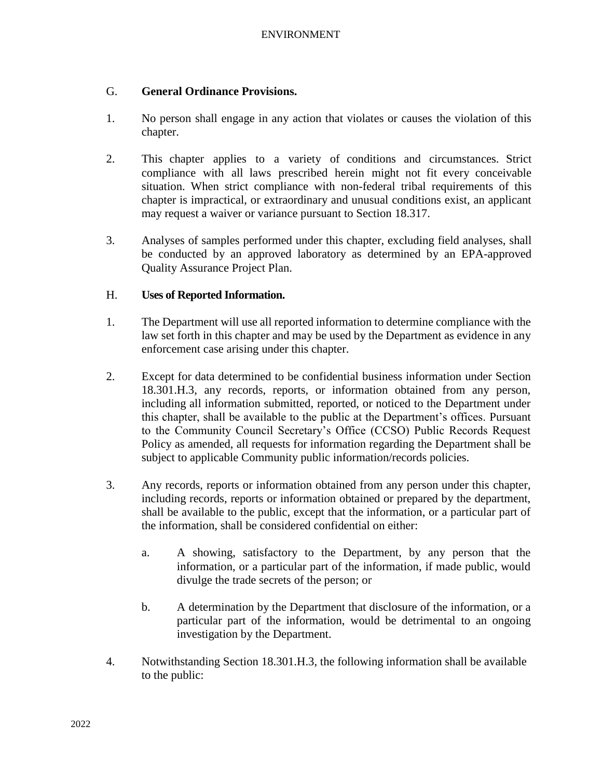## G. **General Ordinance Provisions.**

- 1. No person shall engage in any action that violates or causes the violation of this chapter.
- 2. This chapter applies to a variety of conditions and circumstances. Strict compliance with all laws prescribed herein might not fit every conceivable situation. When strict compliance with non-federal tribal requirements of this chapter is impractical, or extraordinary and unusual conditions exist, an applicant may request a waiver or variance pursuant to Section 18.317.
- 3. Analyses of samples performed under this chapter, excluding field analyses, shall be conducted by an approved laboratory as determined by an EPA-approved Quality Assurance Project Plan.

## H. **Uses of Reported Information.**

- 1. The Department will use all reported information to determine compliance with the law set forth in this chapter and may be used by the Department as evidence in any enforcement case arising under this chapter.
- 2. Except for data determined to be confidential business information under Section 18.301.H.3, any records, reports, or information obtained from any person, including all information submitted, reported, or noticed to the Department under this chapter, shall be available to the public at the Department's offices. Pursuant to the Community Council Secretary's Office (CCSO) Public Records Request Policy as amended, all requests for information regarding the Department shall be subject to applicable Community public information/records policies.
- 3. Any records, reports or information obtained from any person under this chapter, including records, reports or information obtained or prepared by the department, shall be available to the public, except that the information, or a particular part of the information, shall be considered confidential on either:
	- a. A showing, satisfactory to the Department, by any person that the information, or a particular part of the information, if made public, would divulge the trade secrets of the person; or
	- b. A determination by the Department that disclosure of the information, or a particular part of the information, would be detrimental to an ongoing investigation by the Department.
- 4. Notwithstanding Section 18.301.H.3, the following information shall be available to the public: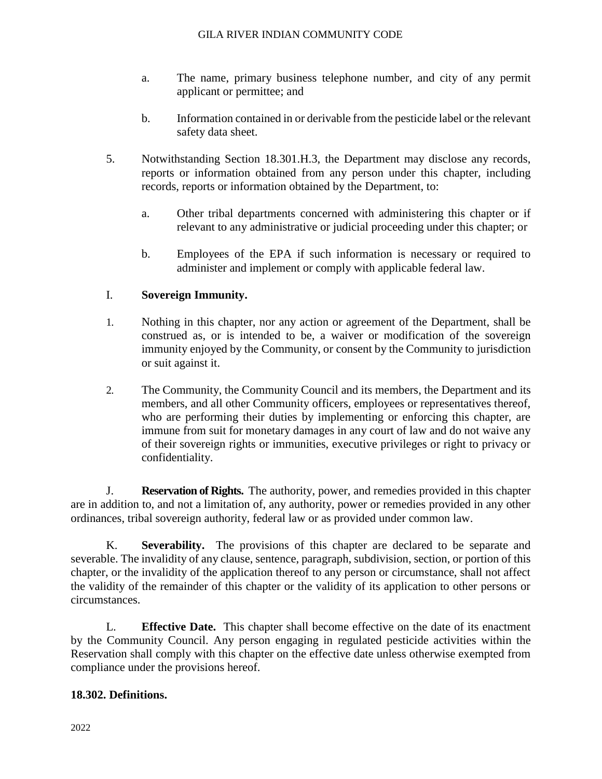- a. The name, primary business telephone number, and city of any permit applicant or permittee; and
- b. Information contained in or derivable from the pesticide label or the relevant safety data sheet.
- 5. Notwithstanding Section 18.301.H.3, the Department may disclose any records, reports or information obtained from any person under this chapter, including records, reports or information obtained by the Department, to:
	- a. Other tribal departments concerned with administering this chapter or if relevant to any administrative or judicial proceeding under this chapter; or
	- b. Employees of the EPA if such information is necessary or required to administer and implement or comply with applicable federal law.

# I. **Sovereign Immunity.**

- 1. Nothing in this chapter, nor any action or agreement of the Department, shall be construed as, or is intended to be, a waiver or modification of the sovereign immunity enjoyed by the Community, or consent by the Community to jurisdiction or suit against it.
- 2. The Community, the Community Council and its members, the Department and its members, and all other Community officers, employees or representatives thereof, who are performing their duties by implementing or enforcing this chapter, are immune from suit for monetary damages in any court of law and do not waive any of their sovereign rights or immunities, executive privileges or right to privacy or confidentiality.

J. **Reservation of Rights.** The authority, power, and remedies provided in this chapter are in addition to, and not a limitation of, any authority, power or remedies provided in any other ordinances, tribal sovereign authority, federal law or as provided under common law.

K. **Severability.** The provisions of this chapter are declared to be separate and severable. The invalidity of any clause, sentence, paragraph, subdivision, section, or portion of this chapter, or the invalidity of the application thereof to any person or circumstance, shall not affect the validity of the remainder of this chapter or the validity of its application to other persons or circumstances.

L. **Effective Date.** This chapter shall become effective on the date of its enactment by the Community Council. Any person engaging in regulated pesticide activities within the Reservation shall comply with this chapter on the effective date unless otherwise exempted from compliance under the provisions hereof.

# **18.302. Definitions.**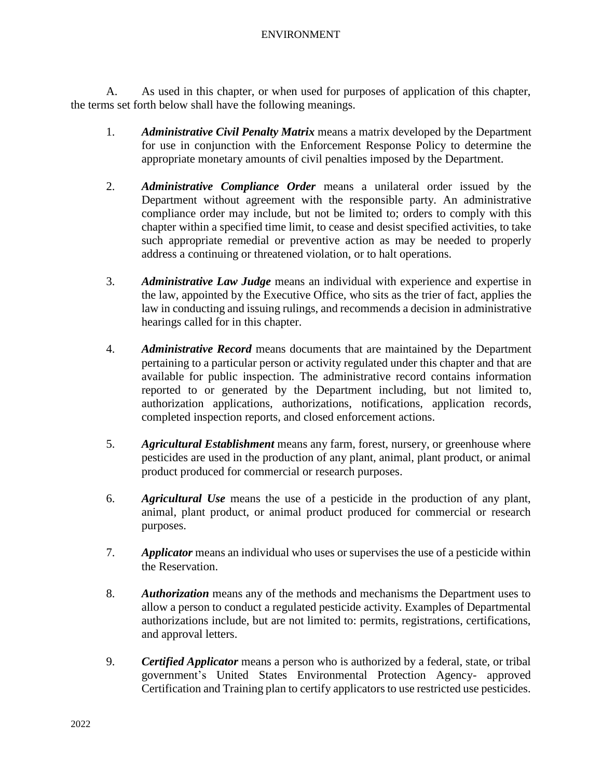A. As used in this chapter, or when used for purposes of application of this chapter, the terms set forth below shall have the following meanings.

- 1. *Administrative Civil Penalty Matrix* means a matrix developed by the Department for use in conjunction with the Enforcement Response Policy to determine the appropriate monetary amounts of civil penalties imposed by the Department.
- 2. *Administrative Compliance Order* means a unilateral order issued by the Department without agreement with the responsible party. An administrative compliance order may include, but not be limited to; orders to comply with this chapter within a specified time limit, to cease and desist specified activities, to take such appropriate remedial or preventive action as may be needed to properly address a continuing or threatened violation, or to halt operations.
- 3. *Administrative Law Judge* means an individual with experience and expertise in the law, appointed by the Executive Office, who sits as the trier of fact, applies the law in conducting and issuing rulings, and recommends a decision in administrative hearings called for in this chapter.
- 4. *Administrative Record* means documents that are maintained by the Department pertaining to a particular person or activity regulated under this chapter and that are available for public inspection. The administrative record contains information reported to or generated by the Department including, but not limited to, authorization applications, authorizations, notifications, application records, completed inspection reports, and closed enforcement actions.
- 5. *Agricultural Establishment* means any farm, forest, nursery, or greenhouse where pesticides are used in the production of any plant, animal, plant product, or animal product produced for commercial or research purposes.
- 6. *Agricultural Use* means the use of a pesticide in the production of any plant, animal, plant product, or animal product produced for commercial or research purposes.
- 7. *Applicator* means an individual who uses or supervises the use of a pesticide within the Reservation.
- 8. *Authorization* means any of the methods and mechanisms the Department uses to allow a person to conduct a regulated pesticide activity. Examples of Departmental authorizations include, but are not limited to: permits, registrations, certifications, and approval letters.
- 9. *Certified Applicator* means a person who is authorized by a federal, state, or tribal government's United States Environmental Protection Agency- approved Certification and Training plan to certify applicators to use restricted use pesticides.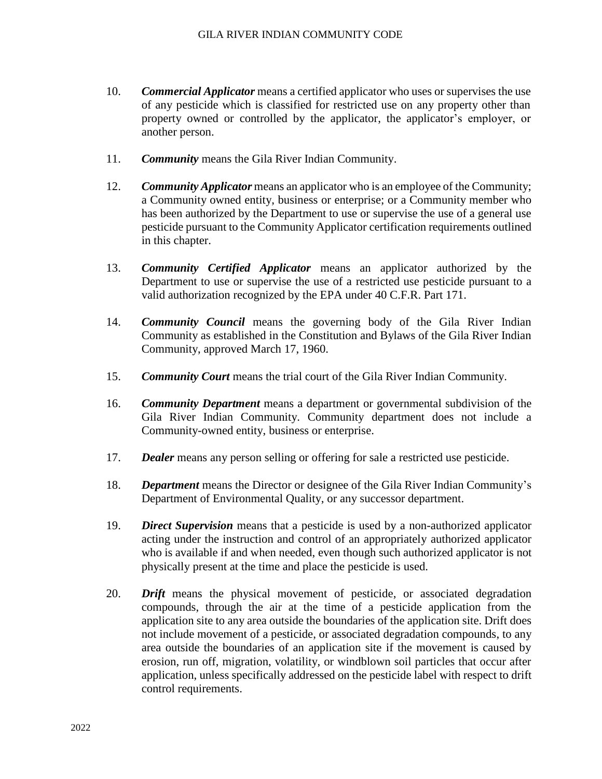- 10. *Commercial Applicator* means a certified applicator who uses or supervises the use of any pesticide which is classified for restricted use on any property other than property owned or controlled by the applicator, the applicator's employer, or another person.
- 11. *Community* means the Gila River Indian Community.
- 12. *Community Applicator* means an applicator who is an employee of the Community; a Community owned entity, business or enterprise; or a Community member who has been authorized by the Department to use or supervise the use of a general use pesticide pursuant to the Community Applicator certification requirements outlined in this chapter.
- 13. *Community Certified Applicator* means an applicator authorized by the Department to use or supervise the use of a restricted use pesticide pursuant to a valid authorization recognized by the EPA under 40 C.F.R. Part 171.
- 14. *Community Council* means the governing body of the Gila River Indian Community as established in the Constitution and Bylaws of the Gila River Indian Community, approved March 17, 1960.
- 15. *Community Court* means the trial court of the Gila River Indian Community.
- 16. *Community Department* means a department or governmental subdivision of the Gila River Indian Community. Community department does not include a Community-owned entity, business or enterprise.
- 17. *Dealer* means any person selling or offering for sale a restricted use pesticide.
- 18. *Department* means the Director or designee of the Gila River Indian Community's Department of Environmental Quality, or any successor department.
- 19. *Direct Supervision* means that a pesticide is used by a non-authorized applicator acting under the instruction and control of an appropriately authorized applicator who is available if and when needed, even though such authorized applicator is not physically present at the time and place the pesticide is used.
- 20. *Drift* means the physical movement of pesticide, or associated degradation compounds, through the air at the time of a pesticide application from the application site to any area outside the boundaries of the application site. Drift does not include movement of a pesticide, or associated degradation compounds, to any area outside the boundaries of an application site if the movement is caused by erosion, run off, migration, volatility, or windblown soil particles that occur after application, unless specifically addressed on the pesticide label with respect to drift control requirements.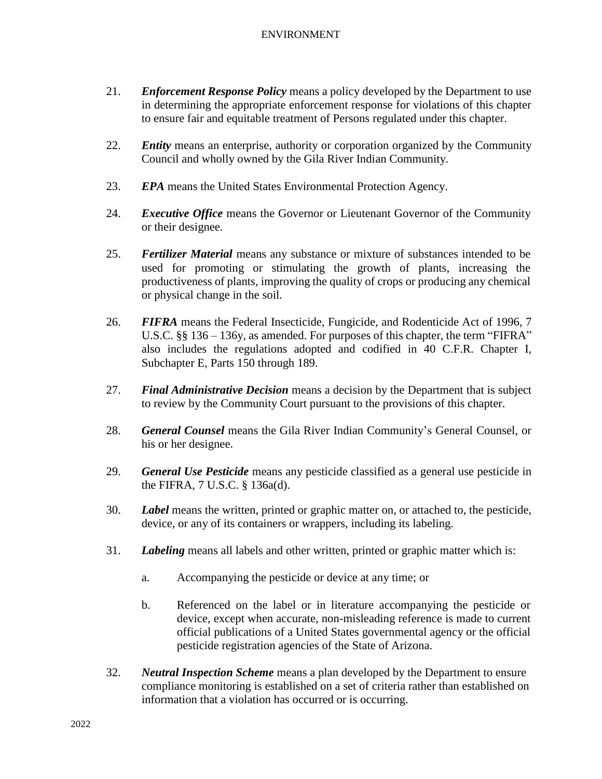- 21. *Enforcement Response Policy* means a policy developed by the Department to use in determining the appropriate enforcement response for violations of this chapter to ensure fair and equitable treatment of Persons regulated under this chapter.
- 22. *Entity* means an enterprise, authority or corporation organized by the Community Council and wholly owned by the Gila River Indian Community.
- 23. *EPA* means the United States Environmental Protection Agency.
- 24. *Executive Office* means the Governor or Lieutenant Governor of the Community or their designee.
- 25. *Fertilizer Material* means any substance or mixture of substances intended to be used for promoting or stimulating the growth of plants, increasing the productiveness of plants, improving the quality of crops or producing any chemical or physical change in the soil.
- 26. *FIFRA* means the Federal Insecticide, Fungicide, and Rodenticide Act of 1996, 7 U.S.C. §§ 136 – 136y, as amended. For purposes of this chapter, the term "FIFRA" also includes the regulations adopted and codified in 40 C.F.R. Chapter I, Subchapter E, Parts 150 through 189.
- 27. *Final Administrative Decision* means a decision by the Department that is subject to review by the Community Court pursuant to the provisions of this chapter.
- 28. *General Counsel* means the Gila River Indian Community's General Counsel, or his or her designee.
- 29. *General Use Pesticide* means any pesticide classified as a general use pesticide in the FIFRA, 7 U.S.C. § 136a(d).
- 30. *Label* means the written, printed or graphic matter on, or attached to, the pesticide, device, or any of its containers or wrappers, including its labeling.
- 31. *Labeling* means all labels and other written, printed or graphic matter which is:
	- a. Accompanying the pesticide or device at any time; or
	- b. Referenced on the label or in literature accompanying the pesticide or device, except when accurate, non-misleading reference is made to current official publications of a United States governmental agency or the official pesticide registration agencies of the State of Arizona.
- 32. *Neutral Inspection Scheme* means a plan developed by the Department to ensure compliance monitoring is established on a set of criteria rather than established on information that a violation has occurred or is occurring.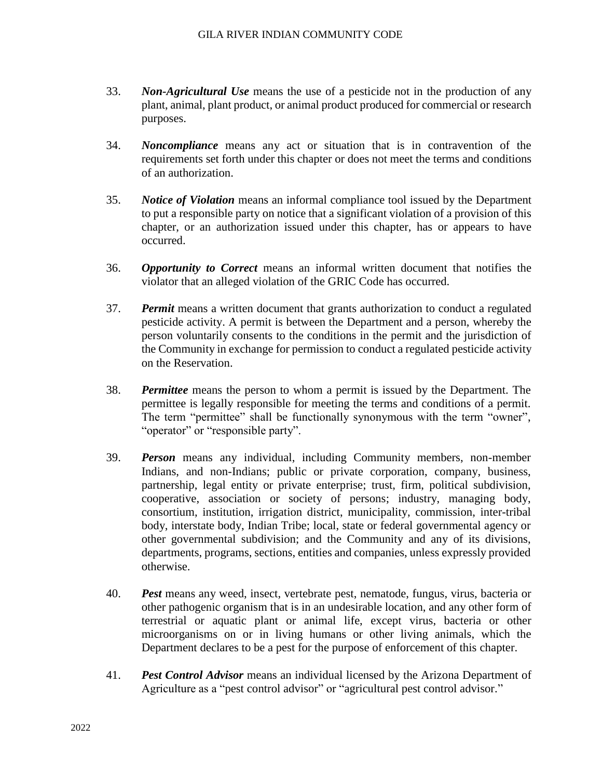- 33. *Non-Agricultural Use* means the use of a pesticide not in the production of any plant, animal, plant product, or animal product produced for commercial or research purposes.
- 34. *Noncompliance* means any act or situation that is in contravention of the requirements set forth under this chapter or does not meet the terms and conditions of an authorization.
- 35. *Notice of Violation* means an informal compliance tool issued by the Department to put a responsible party on notice that a significant violation of a provision of this chapter, or an authorization issued under this chapter, has or appears to have occurred.
- 36. *Opportunity to Correct* means an informal written document that notifies the violator that an alleged violation of the GRIC Code has occurred.
- 37. *Permit* means a written document that grants authorization to conduct a regulated pesticide activity. A permit is between the Department and a person, whereby the person voluntarily consents to the conditions in the permit and the jurisdiction of the Community in exchange for permission to conduct a regulated pesticide activity on the Reservation.
- 38. *Permittee* means the person to whom a permit is issued by the Department. The permittee is legally responsible for meeting the terms and conditions of a permit. The term "permittee" shall be functionally synonymous with the term "owner", "operator" or "responsible party".
- 39. *Person* means any individual, including Community members, non-member Indians, and non-Indians; public or private corporation, company, business, partnership, legal entity or private enterprise; trust, firm, political subdivision, cooperative, association or society of persons; industry, managing body, consortium, institution, irrigation district, municipality, commission, inter-tribal body, interstate body, Indian Tribe; local, state or federal governmental agency or other governmental subdivision; and the Community and any of its divisions, departments, programs, sections, entities and companies, unless expressly provided otherwise.
- 40. *Pest* means any weed, insect, vertebrate pest, nematode, fungus, virus, bacteria or other pathogenic organism that is in an undesirable location, and any other form of terrestrial or aquatic plant or animal life, except virus, bacteria or other microorganisms on or in living humans or other living animals, which the Department declares to be a pest for the purpose of enforcement of this chapter.
- 41. *Pest Control Advisor* means an individual licensed by the Arizona Department of Agriculture as a "pest control advisor" or "agricultural pest control advisor."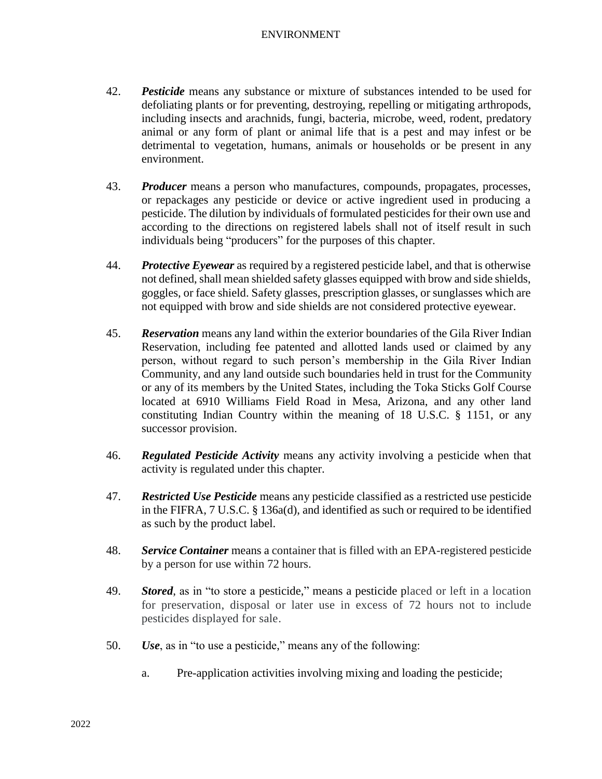- 42. *Pesticide* means any substance or mixture of substances intended to be used for defoliating plants or for preventing, destroying, repelling or mitigating arthropods, including insects and arachnids, fungi, bacteria, microbe, weed, rodent, predatory animal or any form of plant or animal life that is a pest and may infest or be detrimental to vegetation, humans, animals or households or be present in any environment.
- 43. *Producer* means a person who manufactures, compounds, propagates, processes, or repackages any pesticide or device or active ingredient used in producing a pesticide. The dilution by individuals of formulated pesticides for their own use and according to the directions on registered labels shall not of itself result in such individuals being "producers" for the purposes of this chapter.
- 44. *Protective Eyewear* as required by a registered pesticide label, and that is otherwise not defined, shall mean shielded safety glasses equipped with brow and side shields, goggles, or face shield. Safety glasses, prescription glasses, or sunglasses which are not equipped with brow and side shields are not considered protective eyewear.
- 45. *Reservation* means any land within the exterior boundaries of the Gila River Indian Reservation, including fee patented and allotted lands used or claimed by any person, without regard to such person's membership in the Gila River Indian Community, and any land outside such boundaries held in trust for the Community or any of its members by the United States, including the Toka Sticks Golf Course located at 6910 Williams Field Road in Mesa, Arizona, and any other land constituting Indian Country within the meaning of 18 U.S.C. § 1151, or any successor provision.
- 46. *Regulated Pesticide Activity* means any activity involving a pesticide when that activity is regulated under this chapter.
- 47. *Restricted Use Pesticide* means any pesticide classified as a restricted use pesticide in the FIFRA, 7 U.S.C. § 136a(d), and identified as such or required to be identified as such by the product label.
- 48. *Service Container* means a container that is filled with an EPA-registered pesticide by a person for use within 72 hours.
- 49. *Stored*, as in "to store a pesticide," means a pesticide placed or left in a location for preservation, disposal or later use in excess of 72 hours not to include pesticides displayed for sale.
- 50. *Use*, as in "to use a pesticide," means any of the following:
	- a. Pre-application activities involving mixing and loading the pesticide;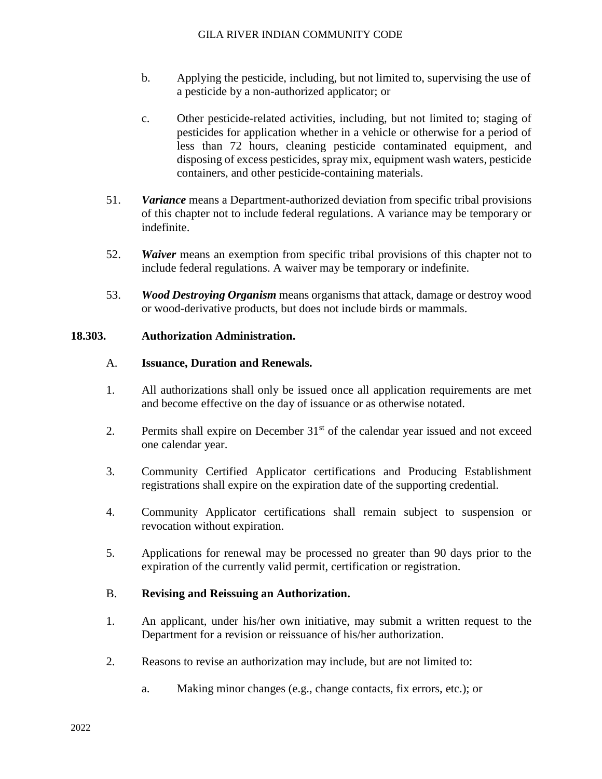- b. Applying the pesticide, including, but not limited to, supervising the use of a pesticide by a non-authorized applicator; or
- c. Other pesticide-related activities, including, but not limited to; staging of pesticides for application whether in a vehicle or otherwise for a period of less than 72 hours, cleaning pesticide contaminated equipment, and disposing of excess pesticides, spray mix, equipment wash waters, pesticide containers, and other pesticide-containing materials.
- 51. *Variance* means a Department-authorized deviation from specific tribal provisions of this chapter not to include federal regulations. A variance may be temporary or indefinite.
- 52. *Waiver* means an exemption from specific tribal provisions of this chapter not to include federal regulations. A waiver may be temporary or indefinite.
- 53. *Wood Destroying Organism* means organisms that attack, damage or destroy wood or wood-derivative products, but does not include birds or mammals.

#### **18.303. Authorization Administration.**

#### A. **Issuance, Duration and Renewals.**

- 1. All authorizations shall only be issued once all application requirements are met and become effective on the day of issuance or as otherwise notated.
- 2. Permits shall expire on December  $31<sup>st</sup>$  of the calendar year issued and not exceed one calendar year.
- 3. Community Certified Applicator certifications and Producing Establishment registrations shall expire on the expiration date of the supporting credential.
- 4. Community Applicator certifications shall remain subject to suspension or revocation without expiration.
- 5. Applications for renewal may be processed no greater than 90 days prior to the expiration of the currently valid permit, certification or registration.

## B. **Revising and Reissuing an Authorization.**

- 1. An applicant, under his/her own initiative, may submit a written request to the Department for a revision or reissuance of his/her authorization.
- 2. Reasons to revise an authorization may include, but are not limited to:
	- a. Making minor changes (e.g., change contacts, fix errors, etc.); or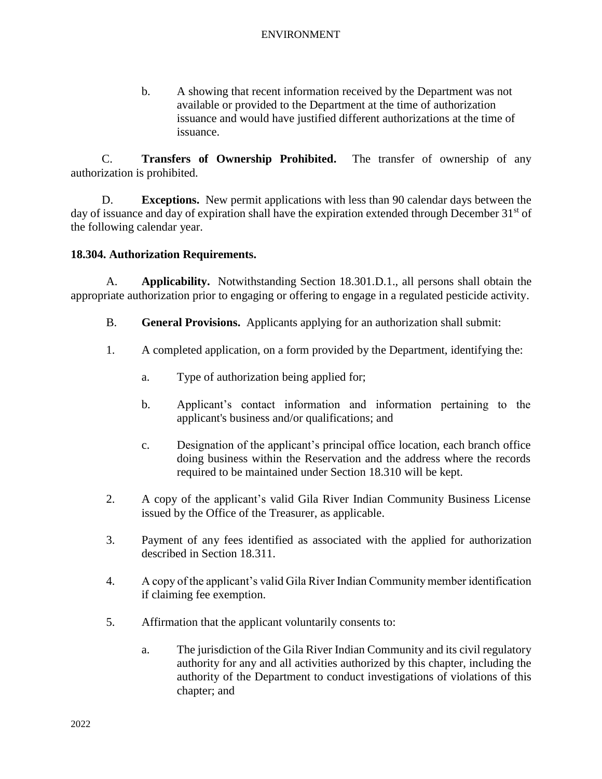b. A showing that recent information received by the Department was not available or provided to the Department at the time of authorization issuance and would have justified different authorizations at the time of issuance.

C. **Transfers of Ownership Prohibited.** The transfer of ownership of any authorization is prohibited.

D. **Exceptions.** New permit applications with less than 90 calendar days between the day of issuance and day of expiration shall have the expiration extended through December  $31<sup>st</sup>$  of the following calendar year.

# **18.304. Authorization Requirements.**

A. **Applicability.** Notwithstanding Section 18.301.D.1., all persons shall obtain the appropriate authorization prior to engaging or offering to engage in a regulated pesticide activity.

- B. **General Provisions.** Applicants applying for an authorization shall submit:
- 1. A completed application, on a form provided by the Department, identifying the:
	- a. Type of authorization being applied for;
	- b. Applicant's contact information and information pertaining to the applicant's business and/or qualifications; and
	- c. Designation of the applicant's principal office location, each branch office doing business within the Reservation and the address where the records required to be maintained under Section 18.310 will be kept.
- 2. A copy of the applicant's valid Gila River Indian Community Business License issued by the Office of the Treasurer, as applicable.
- 3. Payment of any fees identified as associated with the applied for authorization described in Section 18.311.
- 4. A copy of the applicant's valid Gila River Indian Community member identification if claiming fee exemption.
- 5. Affirmation that the applicant voluntarily consents to:
	- a. The jurisdiction of the Gila River Indian Community and its civil regulatory authority for any and all activities authorized by this chapter, including the authority of the Department to conduct investigations of violations of this chapter; and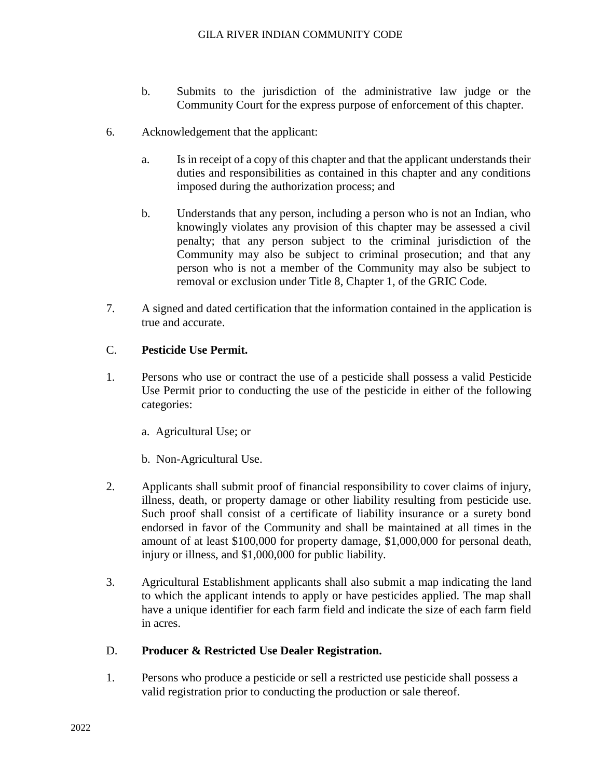- b. Submits to the jurisdiction of the administrative law judge or the Community Court for the express purpose of enforcement of this chapter.
- 6. Acknowledgement that the applicant:
	- a. Is in receipt of a copy of this chapter and that the applicant understands their duties and responsibilities as contained in this chapter and any conditions imposed during the authorization process; and
	- b. Understands that any person, including a person who is not an Indian, who knowingly violates any provision of this chapter may be assessed a civil penalty; that any person subject to the criminal jurisdiction of the Community may also be subject to criminal prosecution; and that any person who is not a member of the Community may also be subject to removal or exclusion under Title 8, Chapter 1, of the GRIC Code.
- 7. A signed and dated certification that the information contained in the application is true and accurate.

## C. **Pesticide Use Permit.**

- 1. Persons who use or contract the use of a pesticide shall possess a valid Pesticide Use Permit prior to conducting the use of the pesticide in either of the following categories:
	- a. Agricultural Use; or
	- b. Non-Agricultural Use.
- 2. Applicants shall submit proof of financial responsibility to cover claims of injury, illness, death, or property damage or other liability resulting from pesticide use. Such proof shall consist of a certificate of liability insurance or a surety bond endorsed in favor of the Community and shall be maintained at all times in the amount of at least \$100,000 for property damage, \$1,000,000 for personal death, injury or illness, and \$1,000,000 for public liability.
- 3. Agricultural Establishment applicants shall also submit a map indicating the land to which the applicant intends to apply or have pesticides applied. The map shall have a unique identifier for each farm field and indicate the size of each farm field in acres.

## D. **Producer & Restricted Use Dealer Registration.**

1. Persons who produce a pesticide or sell a restricted use pesticide shall possess a valid registration prior to conducting the production or sale thereof.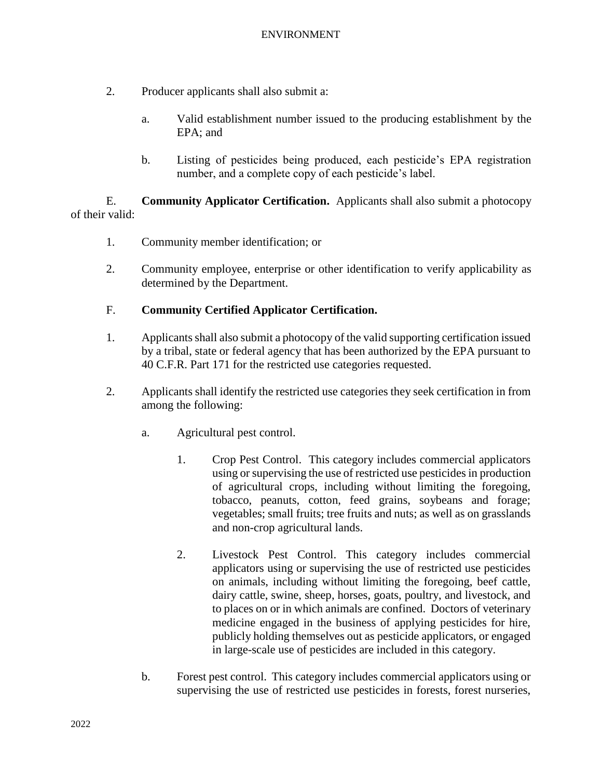- 2. Producer applicants shall also submit a:
	- a. Valid establishment number issued to the producing establishment by the EPA; and
	- b. Listing of pesticides being produced, each pesticide's EPA registration number, and a complete copy of each pesticide's label.

E. **Community Applicator Certification.** Applicants shall also submit a photocopy of their valid:

- 1. Community member identification; or
- 2. Community employee, enterprise or other identification to verify applicability as determined by the Department.

## F. **Community Certified Applicator Certification.**

- 1. Applicants shall also submit a photocopy of the valid supporting certification issued by a tribal, state or federal agency that has been authorized by the EPA pursuant to 40 C.F.R. Part 171 for the restricted use categories requested.
- 2. Applicants shall identify the restricted use categories they seek certification in from among the following:
	- a. Agricultural pest control.
		- 1. Crop Pest Control. This category includes commercial applicators using or supervising the use of restricted use pesticides in production of agricultural crops, including without limiting the foregoing, tobacco, peanuts, cotton, feed grains, soybeans and forage; vegetables; small fruits; tree fruits and nuts; as well as on grasslands and non-crop agricultural lands.
		- 2. Livestock Pest Control. This category includes commercial applicators using or supervising the use of restricted use pesticides on animals, including without limiting the foregoing, beef cattle, dairy cattle, swine, sheep, horses, goats, poultry, and livestock, and to places on or in which animals are confined. Doctors of veterinary medicine engaged in the business of applying pesticides for hire, publicly holding themselves out as pesticide applicators, or engaged in large-scale use of pesticides are included in this category.
	- b. Forest pest control. This category includes commercial applicators using or supervising the use of restricted use pesticides in forests, forest nurseries,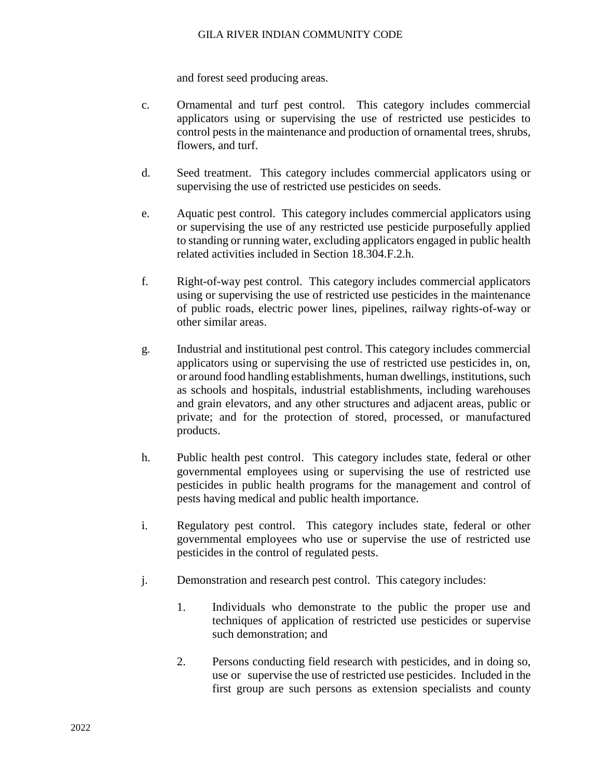### GILA RIVER INDIAN COMMUNITY CODE

and forest seed producing areas.

- c. Ornamental and turf pest control. This category includes commercial applicators using or supervising the use of restricted use pesticides to control pests in the maintenance and production of ornamental trees, shrubs, flowers, and turf.
- d. Seed treatment. This category includes commercial applicators using or supervising the use of restricted use pesticides on seeds.
- e. Aquatic pest control. This category includes commercial applicators using or supervising the use of any restricted use pesticide purposefully applied to standing or running water, excluding applicators engaged in public health related activities included in Section 18.304.F.2.h.
- f. Right-of-way pest control. This category includes commercial applicators using or supervising the use of restricted use pesticides in the maintenance of public roads, electric power lines, pipelines, railway rights-of-way or other similar areas.
- g. Industrial and institutional pest control. This category includes commercial applicators using or supervising the use of restricted use pesticides in, on, or around food handling establishments, human dwellings, institutions, such as schools and hospitals, industrial establishments, including warehouses and grain elevators, and any other structures and adjacent areas, public or private; and for the protection of stored, processed, or manufactured products.
- h. Public health pest control. This category includes state, federal or other governmental employees using or supervising the use of restricted use pesticides in public health programs for the management and control of pests having medical and public health importance.
- i. Regulatory pest control. This category includes state, federal or other governmental employees who use or supervise the use of restricted use pesticides in the control of regulated pests.
- j. Demonstration and research pest control. This category includes:
	- 1. Individuals who demonstrate to the public the proper use and techniques of application of restricted use pesticides or supervise such demonstration; and
	- 2. Persons conducting field research with pesticides, and in doing so, use or supervise the use of restricted use pesticides. Included in the first group are such persons as extension specialists and county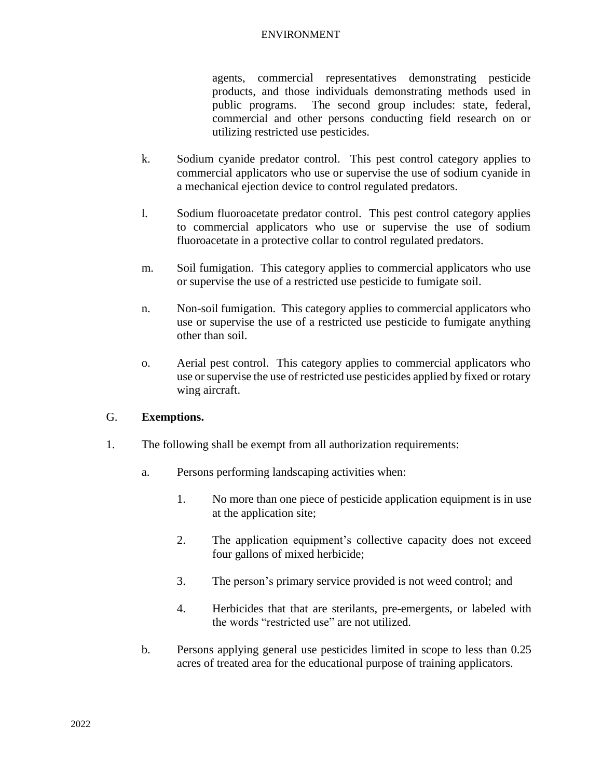agents, commercial representatives demonstrating pesticide products, and those individuals demonstrating methods used in public programs. The second group includes: state, federal, commercial and other persons conducting field research on or utilizing restricted use pesticides.

- k. Sodium cyanide predator control. This pest control category applies to commercial applicators who use or supervise the use of sodium cyanide in a mechanical ejection device to control regulated predators.
- l. Sodium fluoroacetate predator control. This pest control category applies to commercial applicators who use or supervise the use of sodium fluoroacetate in a protective collar to control regulated predators.
- m. Soil fumigation. This category applies to commercial applicators who use or supervise the use of a restricted use pesticide to fumigate soil.
- n. Non-soil fumigation. This category applies to commercial applicators who use or supervise the use of a restricted use pesticide to fumigate anything other than soil.
- o. Aerial pest control. This category applies to commercial applicators who use or supervise the use of restricted use pesticides applied by fixed or rotary wing aircraft.

# G. **Exemptions.**

- 1. The following shall be exempt from all authorization requirements:
	- a. Persons performing landscaping activities when:
		- 1. No more than one piece of pesticide application equipment is in use at the application site;
		- 2. The application equipment's collective capacity does not exceed four gallons of mixed herbicide;
		- 3. The person's primary service provided is not weed control; and
		- 4. Herbicides that that are sterilants, pre-emergents, or labeled with the words "restricted use" are not utilized.
	- b. Persons applying general use pesticides limited in scope to less than 0.25 acres of treated area for the educational purpose of training applicators.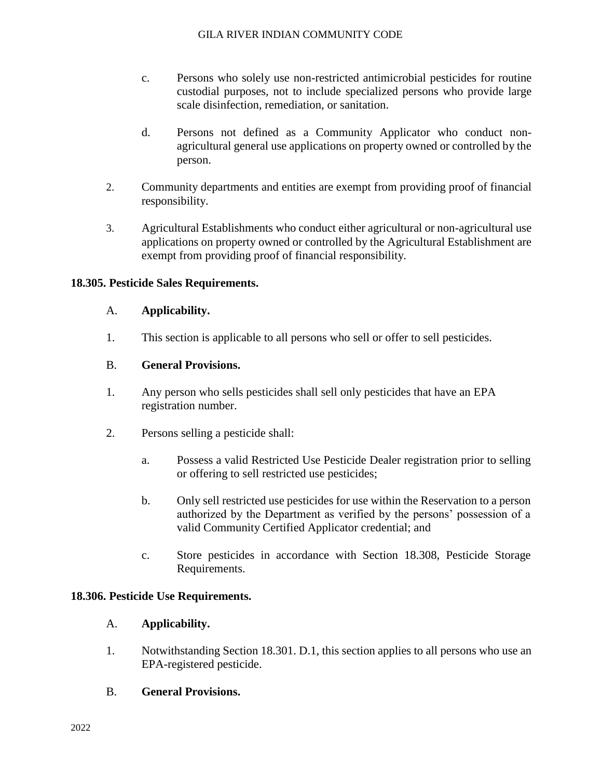- c. Persons who solely use non-restricted antimicrobial pesticides for routine custodial purposes, not to include specialized persons who provide large scale disinfection, remediation, or sanitation.
- d. Persons not defined as a Community Applicator who conduct nonagricultural general use applications on property owned or controlled by the person.
- 2. Community departments and entities are exempt from providing proof of financial responsibility.
- 3. Agricultural Establishments who conduct either agricultural or non-agricultural use applications on property owned or controlled by the Agricultural Establishment are exempt from providing proof of financial responsibility.

## **18.305. Pesticide Sales Requirements.**

#### A. **Applicability.**

1. This section is applicable to all persons who sell or offer to sell pesticides.

## B. **General Provisions.**

- 1. Any person who sells pesticides shall sell only pesticides that have an EPA registration number.
- 2. Persons selling a pesticide shall:
	- a. Possess a valid Restricted Use Pesticide Dealer registration prior to selling or offering to sell restricted use pesticides;
	- b. Only sell restricted use pesticides for use within the Reservation to a person authorized by the Department as verified by the persons' possession of a valid Community Certified Applicator credential; and
	- c. Store pesticides in accordance with Section 18.308, Pesticide Storage Requirements.

## **18.306. Pesticide Use Requirements.**

## A. **Applicability.**

- 1. Notwithstanding Section 18.301. D.1, this section applies to all persons who use an EPA-registered pesticide.
- B. **General Provisions.**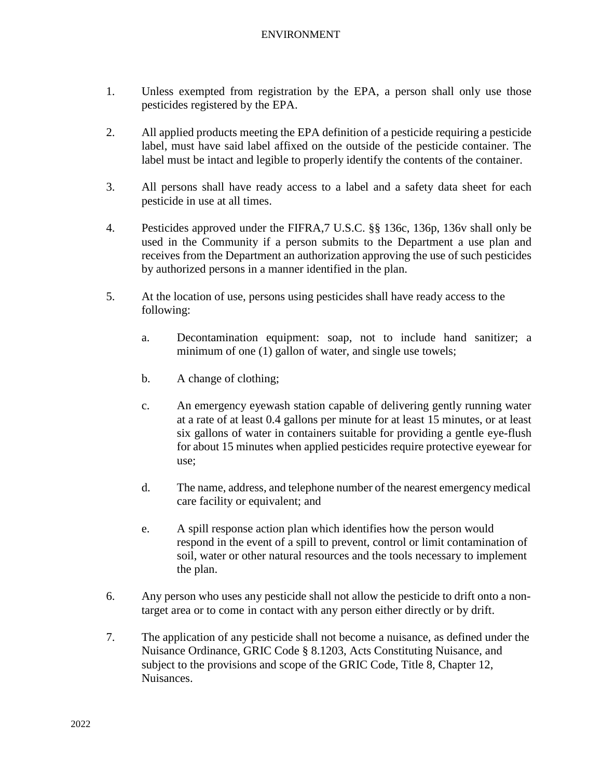- 1. Unless exempted from registration by the EPA, a person shall only use those pesticides registered by the EPA.
- 2. All applied products meeting the EPA definition of a pesticide requiring a pesticide label, must have said label affixed on the outside of the pesticide container. The label must be intact and legible to properly identify the contents of the container.
- 3. All persons shall have ready access to a label and a safety data sheet for each pesticide in use at all times.
- 4. Pesticides approved under the FIFRA,7 U.S.C. §§ 136c, 136p, 136v shall only be used in the Community if a person submits to the Department a use plan and receives from the Department an authorization approving the use of such pesticides by authorized persons in a manner identified in the plan.
- 5. At the location of use, persons using pesticides shall have ready access to the following:
	- a. Decontamination equipment: soap, not to include hand sanitizer; a minimum of one (1) gallon of water, and single use towels;
	- b. A change of clothing;
	- c. An emergency eyewash station capable of delivering gently running water at a rate of at least 0.4 gallons per minute for at least 15 minutes, or at least six gallons of water in containers suitable for providing a gentle eye-flush for about 15 minutes when applied pesticides require protective eyewear for use;
	- d. The name, address, and telephone number of the nearest emergency medical care facility or equivalent; and
	- e. A spill response action plan which identifies how the person would respond in the event of a spill to prevent, control or limit contamination of soil, water or other natural resources and the tools necessary to implement the plan.
- 6. Any person who uses any pesticide shall not allow the pesticide to drift onto a nontarget area or to come in contact with any person either directly or by drift.
- 7. The application of any pesticide shall not become a nuisance, as defined under the Nuisance Ordinance, GRIC Code § 8.1203, Acts Constituting Nuisance, and subject to the provisions and scope of the GRIC Code, Title 8, Chapter 12, Nuisances.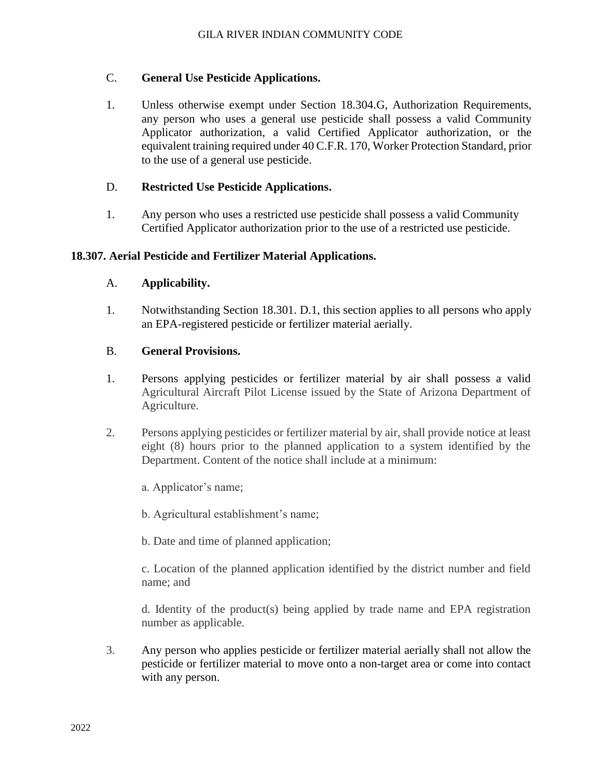## C. **General Use Pesticide Applications.**

1. Unless otherwise exempt under Section 18.304.G, Authorization Requirements, any person who uses a general use pesticide shall possess a valid Community Applicator authorization, a valid Certified Applicator authorization, or the equivalent training required under 40 C.F.R. 170, Worker Protection Standard, prior to the use of a general use pesticide.

## D. **Restricted Use Pesticide Applications.**

1. Any person who uses a restricted use pesticide shall possess a valid Community Certified Applicator authorization prior to the use of a restricted use pesticide.

## **18.307. Aerial Pesticide and Fertilizer Material Applications.**

## A. **Applicability.**

1. Notwithstanding Section 18.301. D.1, this section applies to all persons who apply an EPA-registered pesticide or fertilizer material aerially.

## B. **General Provisions.**

- 1. Persons applying pesticides or fertilizer material by air shall possess a valid Agricultural Aircraft Pilot License issued by the State of Arizona Department of Agriculture.
- 2. Persons applying pesticides or fertilizer material by air, shall provide notice at least eight (8) hours prior to the planned application to a system identified by the Department. Content of the notice shall include at a minimum:

a. Applicator's name;

b. Agricultural establishment's name;

b. Date and time of planned application;

c. Location of the planned application identified by the district number and field name; and

d. Identity of the product(s) being applied by trade name and EPA registration number as applicable.

3. Any person who applies pesticide or fertilizer material aerially shall not allow the pesticide or fertilizer material to move onto a non-target area or come into contact with any person.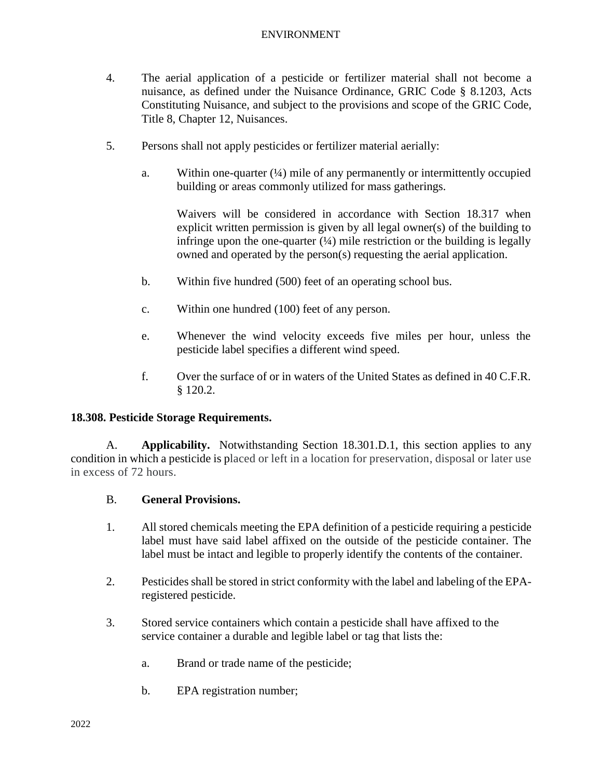- 4. The aerial application of a pesticide or fertilizer material shall not become a nuisance, as defined under the Nuisance Ordinance, GRIC Code § 8.1203, Acts Constituting Nuisance, and subject to the provisions and scope of the GRIC Code, Title 8, Chapter 12, Nuisances.
- 5. Persons shall not apply pesticides or fertilizer material aerially:
	- a. Within one-quarter  $(½)$  mile of any permanently or intermittently occupied building or areas commonly utilized for mass gatherings.

Waivers will be considered in accordance with Section 18.317 when explicit written permission is given by all legal owner(s) of the building to infringe upon the one-quarter  $(½)$  mile restriction or the building is legally owned and operated by the person(s) requesting the aerial application.

- b. Within five hundred (500) feet of an operating school bus.
- c. Within one hundred (100) feet of any person.
- e. Whenever the wind velocity exceeds five miles per hour, unless the pesticide label specifies a different wind speed.
- f. Over the surface of or in waters of the United States as defined in 40 C.F.R. § 120.2.

## **18.308. Pesticide Storage Requirements.**

A. **Applicability.** Notwithstanding Section 18.301.D.1, this section applies to any condition in which a pesticide is placed or left in a location for preservation, disposal or later use in excess of 72 hours.

## B. **General Provisions.**

- 1. All stored chemicals meeting the EPA definition of a pesticide requiring a pesticide label must have said label affixed on the outside of the pesticide container. The label must be intact and legible to properly identify the contents of the container.
- 2. Pesticides shall be stored in strict conformity with the label and labeling of the EPAregistered pesticide.
- 3. Stored service containers which contain a pesticide shall have affixed to the service container a durable and legible label or tag that lists the:
	- a. Brand or trade name of the pesticide;
	- b. EPA registration number;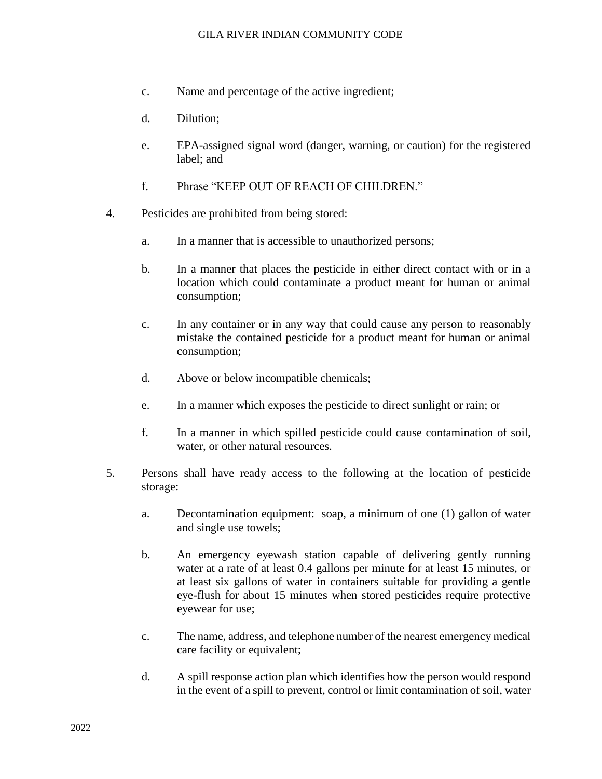#### GILA RIVER INDIAN COMMUNITY CODE

- c. Name and percentage of the active ingredient;
- d. Dilution;
- e. EPA-assigned signal word (danger, warning, or caution) for the registered label; and
- f. Phrase "KEEP OUT OF REACH OF CHILDREN."
- 4. Pesticides are prohibited from being stored:
	- a. In a manner that is accessible to unauthorized persons;
	- b. In a manner that places the pesticide in either direct contact with or in a location which could contaminate a product meant for human or animal consumption;
	- c. In any container or in any way that could cause any person to reasonably mistake the contained pesticide for a product meant for human or animal consumption;
	- d. Above or below incompatible chemicals;
	- e. In a manner which exposes the pesticide to direct sunlight or rain; or
	- f. In a manner in which spilled pesticide could cause contamination of soil, water, or other natural resources.
- 5. Persons shall have ready access to the following at the location of pesticide storage:
	- a. Decontamination equipment: soap, a minimum of one (1) gallon of water and single use towels;
	- b. An emergency eyewash station capable of delivering gently running water at a rate of at least 0.4 gallons per minute for at least 15 minutes, or at least six gallons of water in containers suitable for providing a gentle eye-flush for about 15 minutes when stored pesticides require protective eyewear for use;
	- c. The name, address, and telephone number of the nearest emergency medical care facility or equivalent;
	- d. A spill response action plan which identifies how the person would respond in the event of a spill to prevent, control or limit contamination of soil, water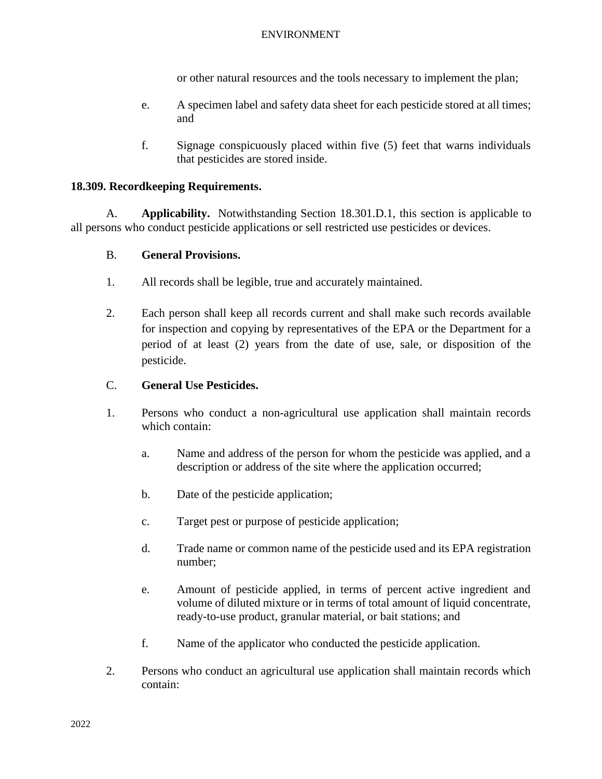or other natural resources and the tools necessary to implement the plan;

- e. A specimen label and safety data sheet for each pesticide stored at all times; and
- f. Signage conspicuously placed within five (5) feet that warns individuals that pesticides are stored inside.

### **18.309. Recordkeeping Requirements.**

A. **Applicability.** Notwithstanding Section 18.301.D.1, this section is applicable to all persons who conduct pesticide applications or sell restricted use pesticides or devices.

### B. **General Provisions.**

- 1. All records shall be legible, true and accurately maintained.
- 2. Each person shall keep all records current and shall make such records available for inspection and copying by representatives of the EPA or the Department for a period of at least (2) years from the date of use, sale, or disposition of the pesticide.

### C. **General Use Pesticides.**

- 1. Persons who conduct a non-agricultural use application shall maintain records which contain:
	- a. Name and address of the person for whom the pesticide was applied, and a description or address of the site where the application occurred;
	- b. Date of the pesticide application;
	- c. Target pest or purpose of pesticide application;
	- d. Trade name or common name of the pesticide used and its EPA registration number;
	- e. Amount of pesticide applied, in terms of percent active ingredient and volume of diluted mixture or in terms of total amount of liquid concentrate, ready-to-use product, granular material, or bait stations; and
	- f. Name of the applicator who conducted the pesticide application.
- 2. Persons who conduct an agricultural use application shall maintain records which contain: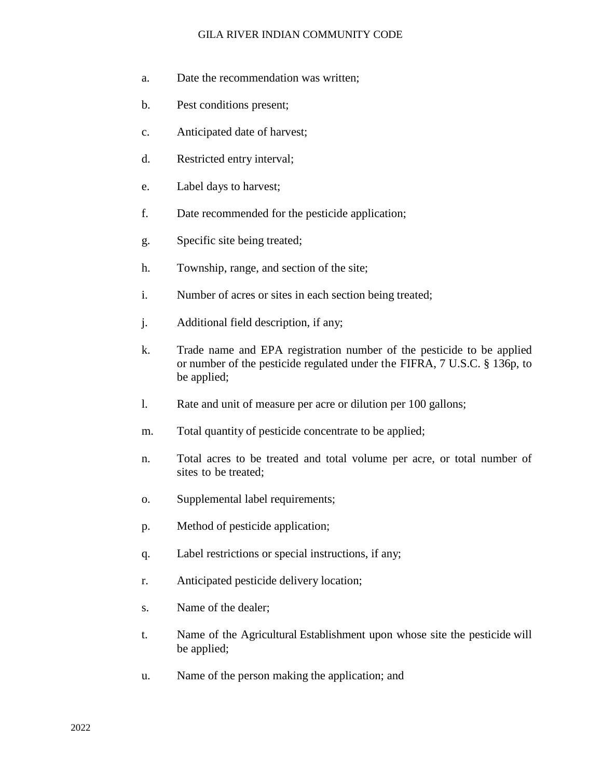#### GILA RIVER INDIAN COMMUNITY CODE

- a. Date the recommendation was written;
- b. Pest conditions present;
- c. Anticipated date of harvest;
- d. Restricted entry interval;
- e. Label days to harvest;
- f. Date recommended for the pesticide application;
- g. Specific site being treated;
- h. Township, range, and section of the site;
- i. Number of acres or sites in each section being treated;
- j. Additional field description, if any;
- k. Trade name and EPA registration number of the pesticide to be applied or number of the pesticide regulated under the FIFRA, 7 U.S.C. § 136p, to be applied;
- l. Rate and unit of measure per acre or dilution per 100 gallons;
- m. Total quantity of pesticide concentrate to be applied;
- n. Total acres to be treated and total volume per acre, or total number of sites to be treated;
- o. Supplemental label requirements;
- p. Method of pesticide application;
- q. Label restrictions or special instructions, if any;
- r. Anticipated pesticide delivery location;
- s. Name of the dealer;
- t. Name of the Agricultural Establishment upon whose site the pesticide will be applied;
- u. Name of the person making the application; and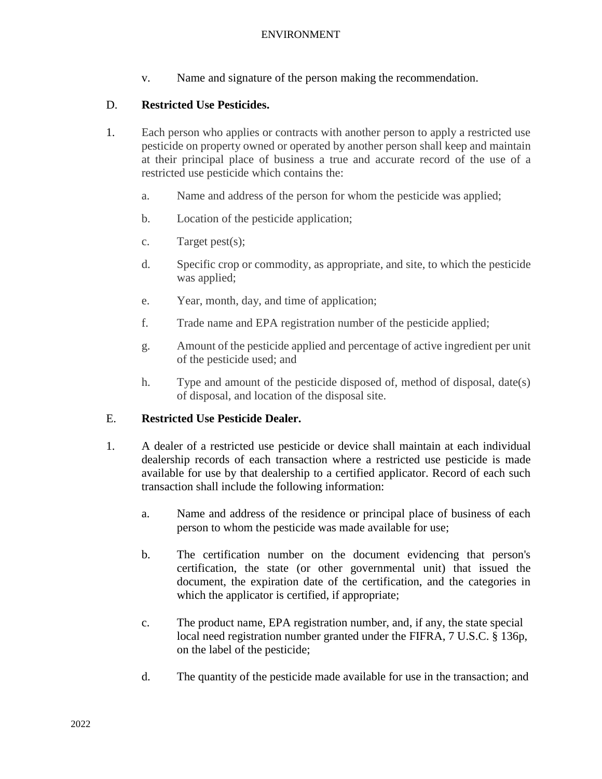v. Name and signature of the person making the recommendation.

## D. **Restricted Use Pesticides.**

- 1. Each person who applies or contracts with another person to apply a restricted use pesticide on property owned or operated by another person shall keep and maintain at their principal place of business a true and accurate record of the use of a restricted use pesticide which contains the:
	- a. Name and address of the person for whom the pesticide was applied;
	- b. Location of the pesticide application;
	- c. Target pest(s);
	- d. Specific crop or commodity, as appropriate, and site, to which the pesticide was applied;
	- e. Year, month, day, and time of application;
	- f. Trade name and EPA registration number of the pesticide applied;
	- g. Amount of the pesticide applied and percentage of active ingredient per unit of the pesticide used; and
	- h. Type and amount of the pesticide disposed of, method of disposal, date(s) of disposal, and location of the disposal site.

## E. **Restricted Use Pesticide Dealer.**

- 1. A dealer of a restricted use pesticide or device shall maintain at each individual dealership records of each transaction where a restricted use pesticide is made available for use by that dealership to a certified applicator. Record of each such transaction shall include the following information:
	- a. Name and address of the residence or principal place of business of each person to whom the pesticide was made available for use;
	- b. The certification number on the document evidencing that person's certification, the state (or other governmental unit) that issued the document, the expiration date of the certification, and the categories in which the applicator is certified, if appropriate;
	- c. The product name, EPA registration number, and, if any, the state special local need registration number granted under the FIFRA, 7 U.S.C. § 136p, on the label of the pesticide;
	- d. The quantity of the pesticide made available for use in the transaction; and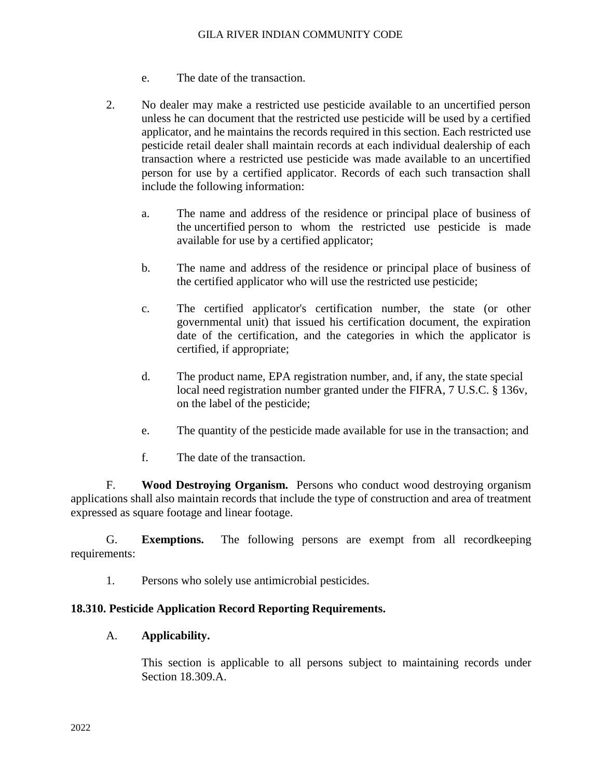- e. The date of the transaction.
- 2. No dealer may make a restricted use pesticide available to an uncertified person unless he can document that the restricted use pesticide will be used by a certified applicator, and he maintains the records required in this section. Each restricted use pesticide retail dealer shall maintain records at each individual dealership of each transaction where a restricted use pesticide was made available to an uncertified person for use by a certified applicator. Records of each such transaction shall include the following information:
	- a. The name and address of the residence or principal place of business of the uncertified person to whom the restricted use pesticide is made available for use by a certified applicator;
	- b. The name and address of the residence or principal place of business of the certified applicator who will use the restricted use pesticide;
	- c. The certified applicator's certification number, the state (or other governmental unit) that issued his certification document, the expiration date of the certification, and the categories in which the applicator is certified, if appropriate;
	- d. The product name, EPA registration number, and, if any, the state special local need registration number granted under the FIFRA, 7 U.S.C. § 136v, on the label of the pesticide;
	- e. The quantity of the pesticide made available for use in the transaction; and
	- f. The date of the transaction.

F. **Wood Destroying Organism.** Persons who conduct wood destroying organism applications shall also maintain records that include the type of construction and area of treatment expressed as square footage and linear footage.

G. **Exemptions.** The following persons are exempt from all recordkeeping requirements:

1. Persons who solely use antimicrobial pesticides.

## **18.310. Pesticide Application Record Reporting Requirements.**

#### A. **Applicability.**

This section is applicable to all persons subject to maintaining records under Section 18.309.A.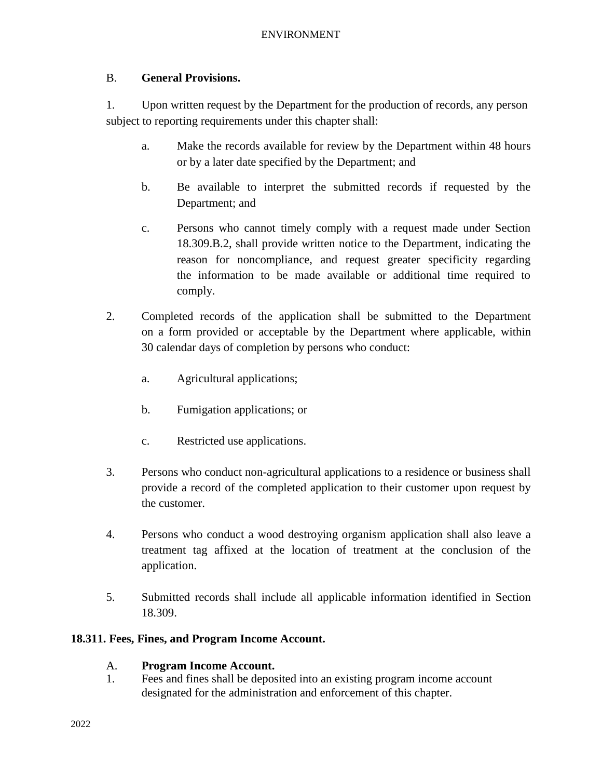# B. **General Provisions.**

1. Upon written request by the Department for the production of records, any person subject to reporting requirements under this chapter shall:

- a. Make the records available for review by the Department within 48 hours or by a later date specified by the Department; and
- b. Be available to interpret the submitted records if requested by the Department; and
- c. Persons who cannot timely comply with a request made under Section 18.309.B.2, shall provide written notice to the Department, indicating the reason for noncompliance, and request greater specificity regarding the information to be made available or additional time required to comply.
- 2. Completed records of the application shall be submitted to the Department on a form provided or acceptable by the Department where applicable, within 30 calendar days of completion by persons who conduct:
	- a. Agricultural applications;
	- b. Fumigation applications; or
	- c. Restricted use applications.
- 3. Persons who conduct non-agricultural applications to a residence or business shall provide a record of the completed application to their customer upon request by the customer.
- 4. Persons who conduct a wood destroying organism application shall also leave a treatment tag affixed at the location of treatment at the conclusion of the application.
- 5. Submitted records shall include all applicable information identified in Section 18.309.

# **18.311. Fees, Fines, and Program Income Account.**

# A. **Program Income Account.**

1. Fees and fines shall be deposited into an existing program income account designated for the administration and enforcement of this chapter.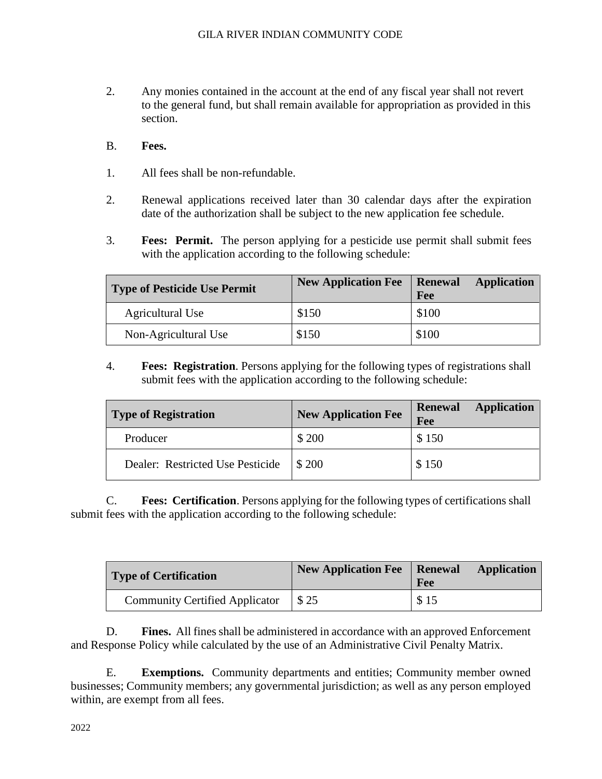- 2. Any monies contained in the account at the end of any fiscal year shall not revert to the general fund, but shall remain available for appropriation as provided in this section.
- B. **Fees.**
- 1. All fees shall be non-refundable.
- 2. Renewal applications received later than 30 calendar days after the expiration date of the authorization shall be subject to the new application fee schedule.
- 3. **Fees: Permit.** The person applying for a pesticide use permit shall submit fees with the application according to the following schedule:

| <b>Type of Pesticide Use Permit</b> | <b>New Application Fee</b> | <b>Renewal</b><br><b>Application</b><br>Fee |
|-------------------------------------|----------------------------|---------------------------------------------|
| Agricultural Use                    | \$150                      | \$100                                       |
| Non-Agricultural Use                | \$150                      | \$100                                       |

4. **Fees: Registration**. Persons applying for the following types of registrations shall submit fees with the application according to the following schedule:

| <b>Type of Registration</b>      | <b>New Application Fee</b> | <b>Application</b><br><b>Renewal</b><br>Fee |
|----------------------------------|----------------------------|---------------------------------------------|
| Producer                         | \$ 200                     | \$150                                       |
| Dealer: Restricted Use Pesticide | \$200                      | \$150                                       |

C. **Fees: Certification**. Persons applying for the following types of certifications shall submit fees with the application according to the following schedule:

| Type of Certification                 | New Application Fee   Renewal | Fee  | <b>Application</b> |
|---------------------------------------|-------------------------------|------|--------------------|
| <b>Community Certified Applicator</b> | \$25                          | \$15 |                    |

D. **Fines.** All fines shall be administered in accordance with an approved Enforcement and Response Policy while calculated by the use of an Administrative Civil Penalty Matrix.

E. **Exemptions.** Community departments and entities; Community member owned businesses; Community members; any governmental jurisdiction; as well as any person employed within, are exempt from all fees.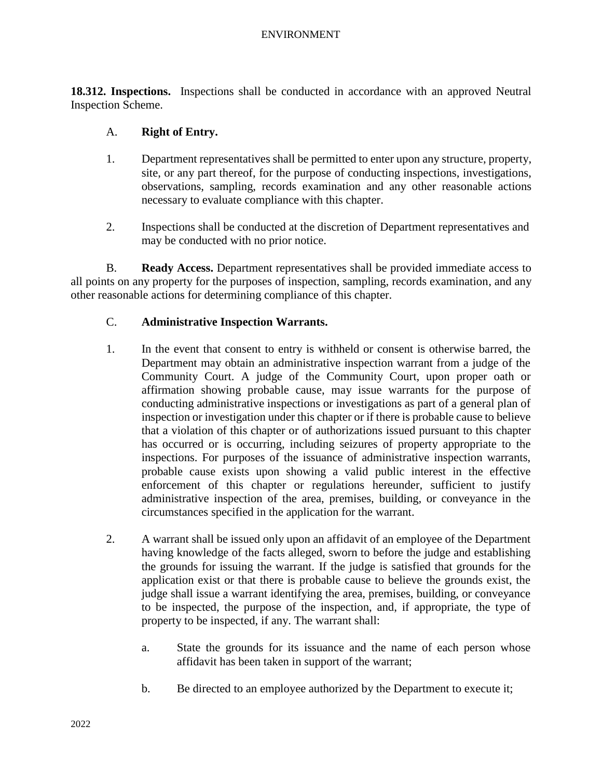**18.312. Inspections.** Inspections shall be conducted in accordance with an approved Neutral Inspection Scheme.

## A. **Right of Entry.**

- 1. Department representatives shall be permitted to enter upon any structure, property, site, or any part thereof, for the purpose of conducting inspections, investigations, observations, sampling, records examination and any other reasonable actions necessary to evaluate compliance with this chapter.
- 2. Inspections shall be conducted at the discretion of Department representatives and may be conducted with no prior notice.

B. **Ready Access.** Department representatives shall be provided immediate access to all points on any property for the purposes of inspection, sampling, records examination, and any other reasonable actions for determining compliance of this chapter.

## C. **Administrative Inspection Warrants.**

- 1. In the event that consent to entry is withheld or consent is otherwise barred, the Department may obtain an administrative inspection warrant from a judge of the Community Court. A judge of the Community Court, upon proper oath or affirmation showing probable cause, may issue warrants for the purpose of conducting administrative inspections or investigations as part of a general plan of inspection or investigation under this chapter or if there is probable cause to believe that a violation of this chapter or of authorizations issued pursuant to this chapter has occurred or is occurring, including seizures of property appropriate to the inspections. For purposes of the issuance of administrative inspection warrants, probable cause exists upon showing a valid public interest in the effective enforcement of this chapter or regulations hereunder, sufficient to justify administrative inspection of the area, premises, building, or conveyance in the circumstances specified in the application for the warrant.
- 2. A warrant shall be issued only upon an affidavit of an employee of the Department having knowledge of the facts alleged, sworn to before the judge and establishing the grounds for issuing the warrant. If the judge is satisfied that grounds for the application exist or that there is probable cause to believe the grounds exist, the judge shall issue a warrant identifying the area, premises, building, or conveyance to be inspected, the purpose of the inspection, and, if appropriate, the type of property to be inspected, if any. The warrant shall:
	- a. State the grounds for its issuance and the name of each person whose affidavit has been taken in support of the warrant;
	- b. Be directed to an employee authorized by the Department to execute it;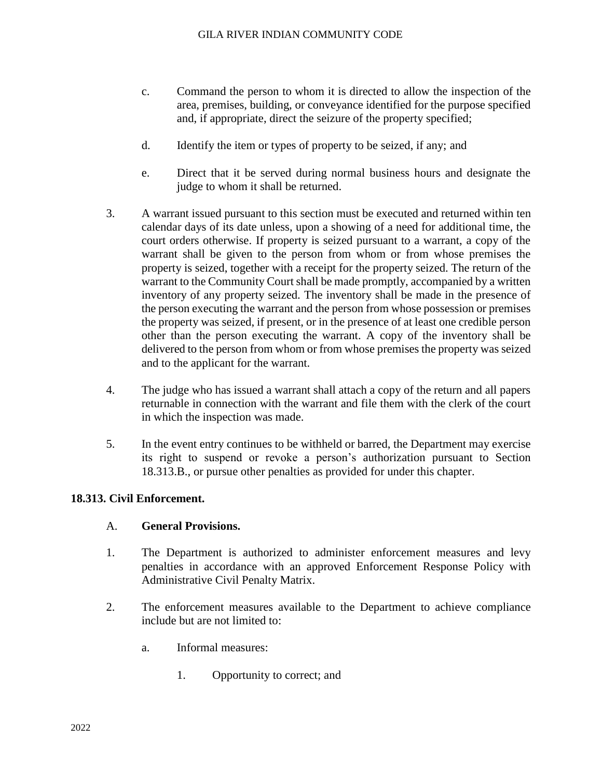- c. Command the person to whom it is directed to allow the inspection of the area, premises, building, or conveyance identified for the purpose specified and, if appropriate, direct the seizure of the property specified;
- d. Identify the item or types of property to be seized, if any; and
- e. Direct that it be served during normal business hours and designate the judge to whom it shall be returned.
- 3. A warrant issued pursuant to this section must be executed and returned within ten calendar days of its date unless, upon a showing of a need for additional time, the court orders otherwise. If property is seized pursuant to a warrant, a copy of the warrant shall be given to the person from whom or from whose premises the property is seized, together with a receipt for the property seized. The return of the warrant to the Community Court shall be made promptly, accompanied by a written inventory of any property seized. The inventory shall be made in the presence of the person executing the warrant and the person from whose possession or premises the property was seized, if present, or in the presence of at least one credible person other than the person executing the warrant. A copy of the inventory shall be delivered to the person from whom or from whose premises the property was seized and to the applicant for the warrant.
- 4. The judge who has issued a warrant shall attach a copy of the return and all papers returnable in connection with the warrant and file them with the clerk of the court in which the inspection was made.
- 5. In the event entry continues to be withheld or barred, the Department may exercise its right to suspend or revoke a person's authorization pursuant to Section 18.313.B., or pursue other penalties as provided for under this chapter.

## **18.313. Civil Enforcement.**

## A. **General Provisions.**

- 1. The Department is authorized to administer enforcement measures and levy penalties in accordance with an approved Enforcement Response Policy with Administrative Civil Penalty Matrix.
- 2. The enforcement measures available to the Department to achieve compliance include but are not limited to:
	- a. Informal measures:
		- 1. Opportunity to correct; and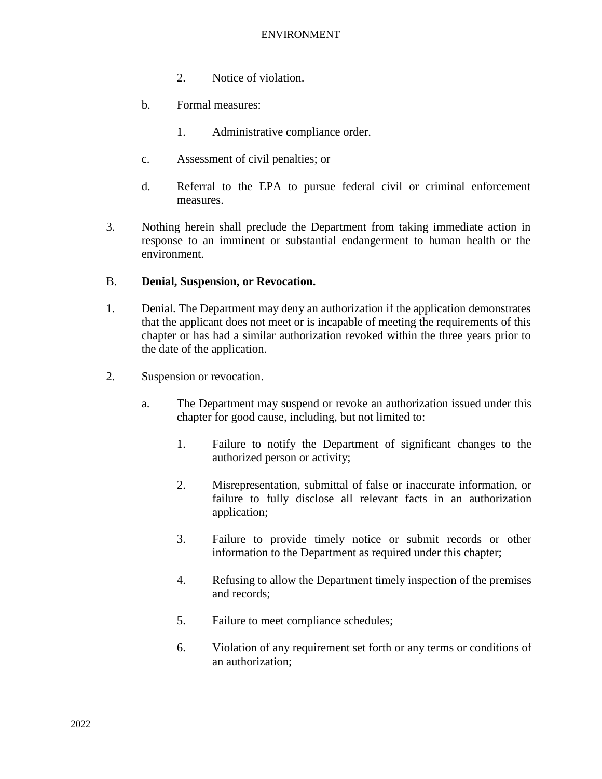- 2. Notice of violation.
- b. Formal measures:
	- 1. Administrative compliance order.
- c. Assessment of civil penalties; or
- d. Referral to the EPA to pursue federal civil or criminal enforcement measures.
- 3. Nothing herein shall preclude the Department from taking immediate action in response to an imminent or substantial endangerment to human health or the environment.

#### B. **Denial, Suspension, or Revocation.**

- 1. Denial. The Department may deny an authorization if the application demonstrates that the applicant does not meet or is incapable of meeting the requirements of this chapter or has had a similar authorization revoked within the three years prior to the date of the application.
- 2. Suspension or revocation.
	- a. The Department may suspend or revoke an authorization issued under this chapter for good cause, including, but not limited to:
		- 1. Failure to notify the Department of significant changes to the authorized person or activity;
		- 2. Misrepresentation, submittal of false or inaccurate information, or failure to fully disclose all relevant facts in an authorization application;
		- 3. Failure to provide timely notice or submit records or other information to the Department as required under this chapter;
		- 4. Refusing to allow the Department timely inspection of the premises and records;
		- 5. Failure to meet compliance schedules;
		- 6. Violation of any requirement set forth or any terms or conditions of an authorization;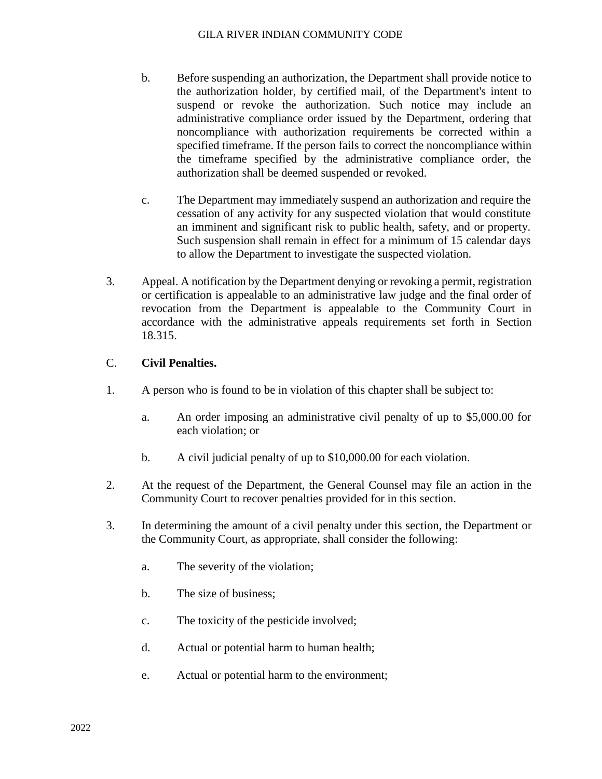- b. Before suspending an authorization, the Department shall provide notice to the authorization holder, by certified mail, of the Department's intent to suspend or revoke the authorization. Such notice may include an administrative compliance order issued by the Department, ordering that noncompliance with authorization requirements be corrected within a specified timeframe. If the person fails to correct the noncompliance within the timeframe specified by the administrative compliance order, the authorization shall be deemed suspended or revoked.
- c. The Department may immediately suspend an authorization and require the cessation of any activity for any suspected violation that would constitute an imminent and significant risk to public health, safety, and or property. Such suspension shall remain in effect for a minimum of 15 calendar days to allow the Department to investigate the suspected violation.
- 3. Appeal. A notification by the Department denying or revoking a permit, registration or certification is appealable to an administrative law judge and the final order of revocation from the Department is appealable to the Community Court in accordance with the administrative appeals requirements set forth in Section 18.315.

# C. **Civil Penalties.**

- 1. A person who is found to be in violation of this chapter shall be subject to:
	- a. An order imposing an administrative civil penalty of up to \$5,000.00 for each violation; or
	- b. A civil judicial penalty of up to \$10,000.00 for each violation.
- 2. At the request of the Department, the General Counsel may file an action in the Community Court to recover penalties provided for in this section.
- 3. In determining the amount of a civil penalty under this section, the Department or the Community Court, as appropriate, shall consider the following:
	- a. The severity of the violation;
	- b. The size of business;
	- c. The toxicity of the pesticide involved;
	- d. Actual or potential harm to human health;
	- e. Actual or potential harm to the environment;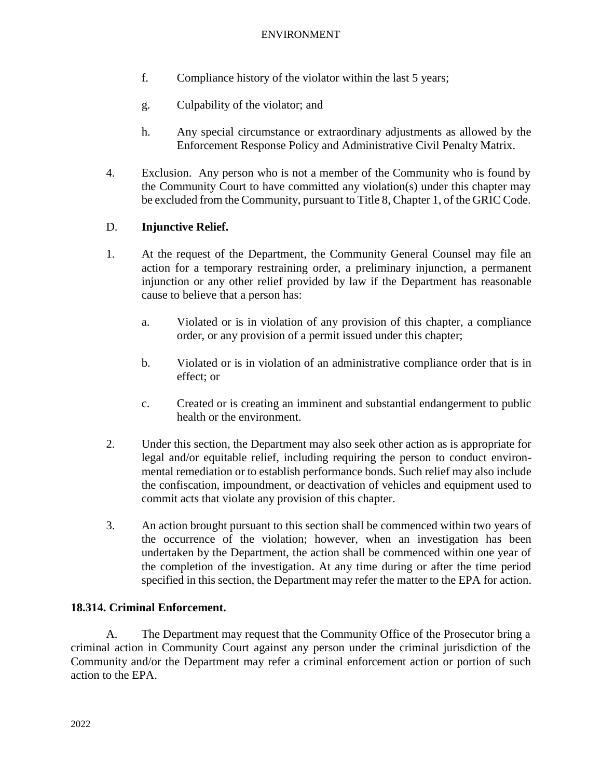- f. Compliance history of the violator within the last 5 years;
- g. Culpability of the violator; and
- h. Any special circumstance or extraordinary adjustments as allowed by the Enforcement Response Policy and Administrative Civil Penalty Matrix.
- 4. Exclusion. Any person who is not a member of the Community who is found by the Community Court to have committed any violation(s) under this chapter may be excluded from the Community, pursuant to Title 8, Chapter 1, of the GRIC Code.

# D. **Injunctive Relief.**

- 1. At the request of the Department, the Community General Counsel may file an action for a temporary restraining order, a preliminary injunction, a permanent injunction or any other relief provided by law if the Department has reasonable cause to believe that a person has:
	- a. Violated or is in violation of any provision of this chapter, a compliance order, or any provision of a permit issued under this chapter;
	- b. Violated or is in violation of an administrative compliance order that is in effect; or
	- c. Created or is creating an imminent and substantial endangerment to public health or the environment.
- 2. Under this section, the Department may also seek other action as is appropriate for legal and/or equitable relief, including requiring the person to conduct environmental remediation or to establish performance bonds. Such relief may also include the confiscation, impoundment, or deactivation of vehicles and equipment used to commit acts that violate any provision of this chapter.
- 3. An action brought pursuant to this section shall be commenced within two years of the occurrence of the violation; however, when an investigation has been undertaken by the Department, the action shall be commenced within one year of the completion of the investigation. At any time during or after the time period specified in this section, the Department may refer the matter to the EPA for action.

# **18.314. Criminal Enforcement.**

A. The Department may request that the Community Office of the Prosecutor bring a criminal action in Community Court against any person under the criminal jurisdiction of the Community and/or the Department may refer a criminal enforcement action or portion of such action to the EPA.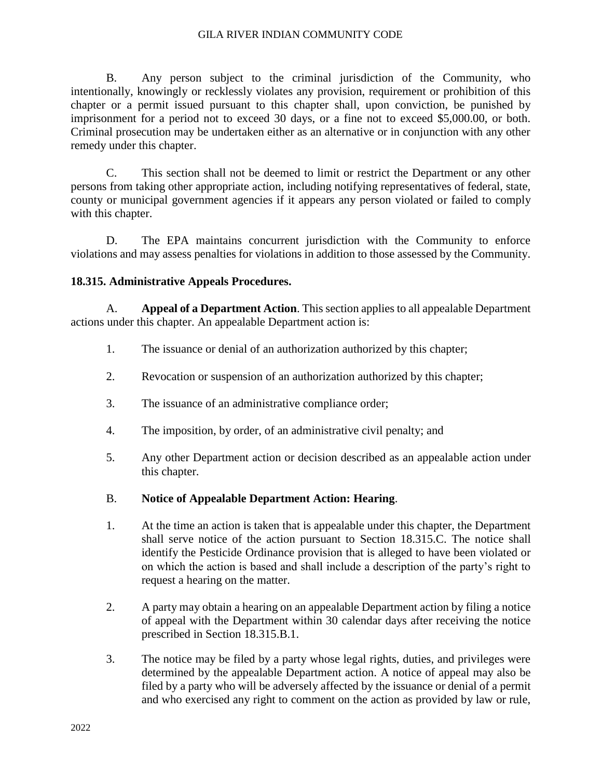#### GILA RIVER INDIAN COMMUNITY CODE

B. Any person subject to the criminal jurisdiction of the Community, who intentionally, knowingly or recklessly violates any provision, requirement or prohibition of this chapter or a permit issued pursuant to this chapter shall, upon conviction, be punished by imprisonment for a period not to exceed 30 days, or a fine not to exceed \$5,000.00, or both. Criminal prosecution may be undertaken either as an alternative or in conjunction with any other remedy under this chapter.

C. This section shall not be deemed to limit or restrict the Department or any other persons from taking other appropriate action, including notifying representatives of federal, state, county or municipal government agencies if it appears any person violated or failed to comply with this chapter.

D. The EPA maintains concurrent jurisdiction with the Community to enforce violations and may assess penalties for violations in addition to those assessed by the Community.

## **18.315. Administrative Appeals Procedures.**

A. **Appeal of a Department Action**. This section applies to all appealable Department actions under this chapter. An appealable Department action is:

- 1. The issuance or denial of an authorization authorized by this chapter;
- 2. Revocation or suspension of an authorization authorized by this chapter;
- 3. The issuance of an administrative compliance order;
- 4. The imposition, by order, of an administrative civil penalty; and
- 5. Any other Department action or decision described as an appealable action under this chapter.
- B. **Notice of Appealable Department Action: Hearing**.
- 1. At the time an action is taken that is appealable under this chapter, the Department shall serve notice of the action pursuant to Section 18.315.C. The notice shall identify the Pesticide Ordinance provision that is alleged to have been violated or on which the action is based and shall include a description of the party's right to request a hearing on the matter.
- 2. A party may obtain a hearing on an appealable Department action by filing a notice of appeal with the Department within 30 calendar days after receiving the notice prescribed in Section 18.315.B.1.
- 3. The notice may be filed by a party whose legal rights, duties, and privileges were determined by the appealable Department action. A notice of appeal may also be filed by a party who will be adversely affected by the issuance or denial of a permit and who exercised any right to comment on the action as provided by law or rule,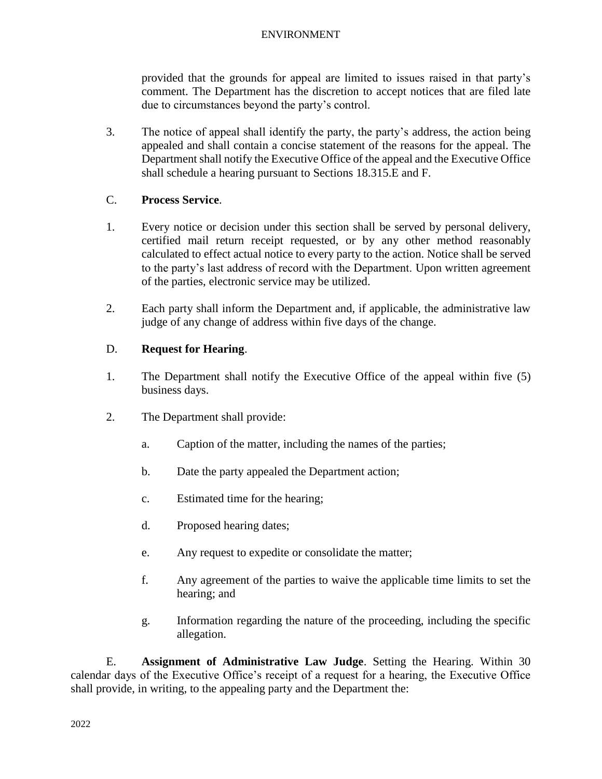provided that the grounds for appeal are limited to issues raised in that party's comment. The Department has the discretion to accept notices that are filed late due to circumstances beyond the party's control.

3. The notice of appeal shall identify the party, the party's address, the action being appealed and shall contain a concise statement of the reasons for the appeal. The Department shall notify the Executive Office of the appeal and the Executive Office shall schedule a hearing pursuant to Sections 18.315.E and F.

# C. **Process Service**.

- 1. Every notice or decision under this section shall be served by personal delivery, certified mail return receipt requested, or by any other method reasonably calculated to effect actual notice to every party to the action. Notice shall be served to the party's last address of record with the Department. Upon written agreement of the parties, electronic service may be utilized.
- 2. Each party shall inform the Department and, if applicable, the administrative law judge of any change of address within five days of the change.

# D. **Request for Hearing**.

- 1. The Department shall notify the Executive Office of the appeal within five (5) business days.
- 2. The Department shall provide:
	- a. Caption of the matter, including the names of the parties;
	- b. Date the party appealed the Department action;
	- c. Estimated time for the hearing;
	- d. Proposed hearing dates;
	- e. Any request to expedite or consolidate the matter;
	- f. Any agreement of the parties to waive the applicable time limits to set the hearing; and
	- g. Information regarding the nature of the proceeding, including the specific allegation.

E. **Assignment of Administrative Law Judge**. Setting the Hearing. Within 30 calendar days of the Executive Office's receipt of a request for a hearing, the Executive Office shall provide, in writing, to the appealing party and the Department the: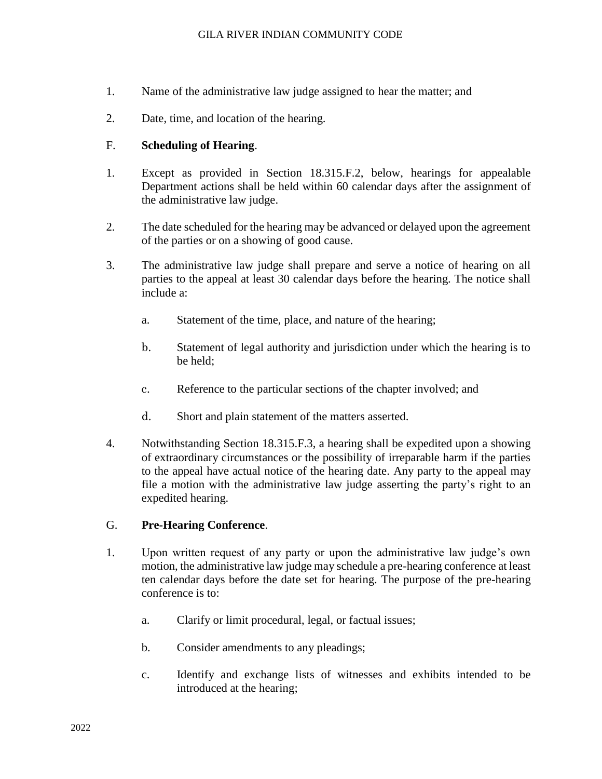- 1. Name of the administrative law judge assigned to hear the matter; and
- 2. Date, time, and location of the hearing.

## F. **Scheduling of Hearing**.

- 1. Except as provided in Section 18.315.F.2, below, hearings for appealable Department actions shall be held within 60 calendar days after the assignment of the administrative law judge.
- 2. The date scheduled for the hearing may be advanced or delayed upon the agreement of the parties or on a showing of good cause.
- 3. The administrative law judge shall prepare and serve a notice of hearing on all parties to the appeal at least 30 calendar days before the hearing. The notice shall include a:
	- a. Statement of the time, place, and nature of the hearing;
	- b. Statement of legal authority and jurisdiction under which the hearing is to be held;
	- c. Reference to the particular sections of the chapter involved; and
	- d. Short and plain statement of the matters asserted.
- 4. Notwithstanding Section 18.315.F.3, a hearing shall be expedited upon a showing of extraordinary circumstances or the possibility of irreparable harm if the parties to the appeal have actual notice of the hearing date. Any party to the appeal may file a motion with the administrative law judge asserting the party's right to an expedited hearing.

## G. **Pre-Hearing Conference**.

- 1. Upon written request of any party or upon the administrative law judge's own motion, the administrative law judge may schedule a pre-hearing conference at least ten calendar days before the date set for hearing. The purpose of the pre-hearing conference is to:
	- a. Clarify or limit procedural, legal, or factual issues;
	- b. Consider amendments to any pleadings;
	- c. Identify and exchange lists of witnesses and exhibits intended to be introduced at the hearing;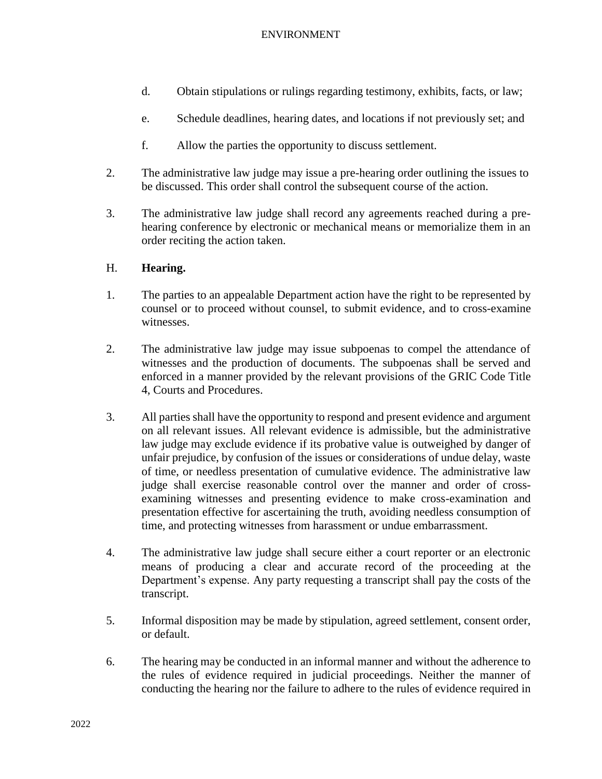- d. Obtain stipulations or rulings regarding testimony, exhibits, facts, or law;
- e. Schedule deadlines, hearing dates, and locations if not previously set; and
- f. Allow the parties the opportunity to discuss settlement.
- 2. The administrative law judge may issue a pre-hearing order outlining the issues to be discussed. This order shall control the subsequent course of the action.
- 3. The administrative law judge shall record any agreements reached during a prehearing conference by electronic or mechanical means or memorialize them in an order reciting the action taken.

## H. **Hearing.**

- 1. The parties to an appealable Department action have the right to be represented by counsel or to proceed without counsel, to submit evidence, and to cross-examine witnesses.
- 2. The administrative law judge may issue subpoenas to compel the attendance of witnesses and the production of documents. The subpoenas shall be served and enforced in a manner provided by the relevant provisions of the GRIC Code Title 4, Courts and Procedures.
- 3. All parties shall have the opportunity to respond and present evidence and argument on all relevant issues. All relevant evidence is admissible, but the administrative law judge may exclude evidence if its probative value is outweighed by danger of unfair prejudice, by confusion of the issues or considerations of undue delay, waste of time, or needless presentation of cumulative evidence. The administrative law judge shall exercise reasonable control over the manner and order of crossexamining witnesses and presenting evidence to make cross-examination and presentation effective for ascertaining the truth, avoiding needless consumption of time, and protecting witnesses from harassment or undue embarrassment.
- 4. The administrative law judge shall secure either a court reporter or an electronic means of producing a clear and accurate record of the proceeding at the Department's expense. Any party requesting a transcript shall pay the costs of the transcript.
- 5. Informal disposition may be made by stipulation, agreed settlement, consent order, or default.
- 6. The hearing may be conducted in an informal manner and without the adherence to the rules of evidence required in judicial proceedings. Neither the manner of conducting the hearing nor the failure to adhere to the rules of evidence required in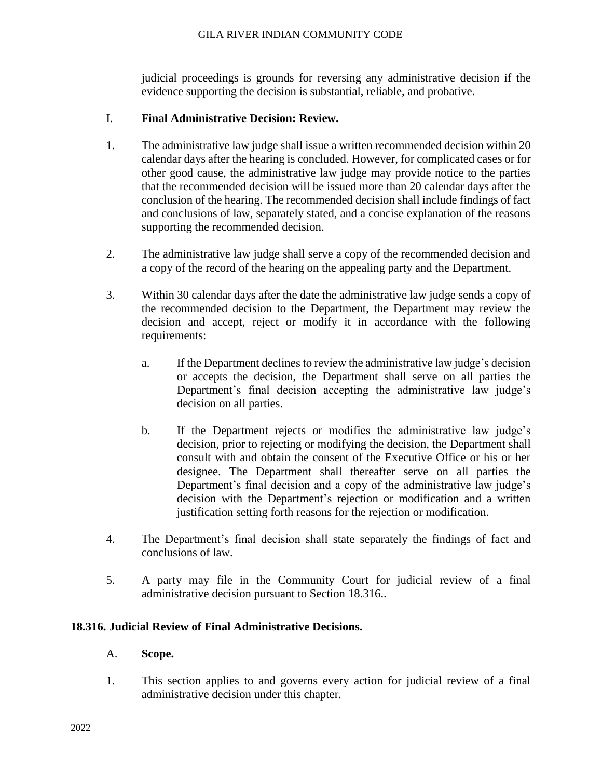### GILA RIVER INDIAN COMMUNITY CODE

judicial proceedings is grounds for reversing any administrative decision if the evidence supporting the decision is substantial, reliable, and probative.

## I. **Final Administrative Decision: Review.**

- 1. The administrative law judge shall issue a written recommended decision within 20 calendar days after the hearing is concluded. However, for complicated cases or for other good cause, the administrative law judge may provide notice to the parties that the recommended decision will be issued more than 20 calendar days after the conclusion of the hearing. The recommended decision shall include findings of fact and conclusions of law, separately stated, and a concise explanation of the reasons supporting the recommended decision.
- 2. The administrative law judge shall serve a copy of the recommended decision and a copy of the record of the hearing on the appealing party and the Department.
- 3. Within 30 calendar days after the date the administrative law judge sends a copy of the recommended decision to the Department, the Department may review the decision and accept, reject or modify it in accordance with the following requirements:
	- a. If the Department declines to review the administrative law judge's decision or accepts the decision, the Department shall serve on all parties the Department's final decision accepting the administrative law judge's decision on all parties.
	- b. If the Department rejects or modifies the administrative law judge's decision, prior to rejecting or modifying the decision, the Department shall consult with and obtain the consent of the Executive Office or his or her designee. The Department shall thereafter serve on all parties the Department's final decision and a copy of the administrative law judge's decision with the Department's rejection or modification and a written justification setting forth reasons for the rejection or modification.
- 4. The Department's final decision shall state separately the findings of fact and conclusions of law.
- 5. A party may file in the Community Court for judicial review of a final administrative decision pursuant to Section 18.316..

## **18.316. Judicial Review of Final Administrative Decisions.**

## A. **Scope.**

1. This section applies to and governs every action for judicial review of a final administrative decision under this chapter.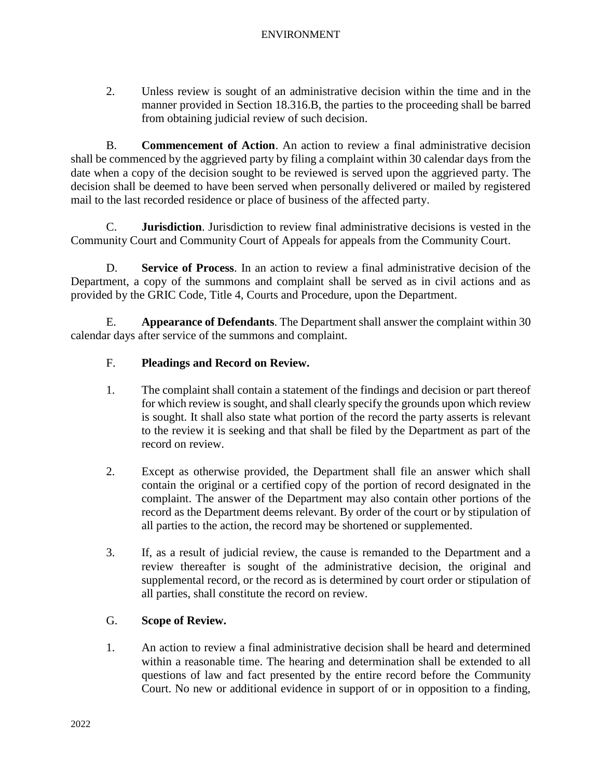2. Unless review is sought of an administrative decision within the time and in the manner provided in Section 18.316.B, the parties to the proceeding shall be barred from obtaining judicial review of such decision.

B. **Commencement of Action**. An action to review a final administrative decision shall be commenced by the aggrieved party by filing a complaint within 30 calendar days from the date when a copy of the decision sought to be reviewed is served upon the aggrieved party. The decision shall be deemed to have been served when personally delivered or mailed by registered mail to the last recorded residence or place of business of the affected party.

C. **Jurisdiction**. Jurisdiction to review final administrative decisions is vested in the Community Court and Community Court of Appeals for appeals from the Community Court.

D. **Service of Process**. In an action to review a final administrative decision of the Department, a copy of the summons and complaint shall be served as in civil actions and as provided by the GRIC Code, Title 4, Courts and Procedure, upon the Department.

E. **Appearance of Defendants**. The Department shall answer the complaint within 30 calendar days after service of the summons and complaint.

## F. **Pleadings and Record on Review.**

- 1. The complaint shall contain a statement of the findings and decision or part thereof for which review is sought, and shall clearly specify the grounds upon which review is sought. It shall also state what portion of the record the party asserts is relevant to the review it is seeking and that shall be filed by the Department as part of the record on review.
- 2. Except as otherwise provided, the Department shall file an answer which shall contain the original or a certified copy of the portion of record designated in the complaint. The answer of the Department may also contain other portions of the record as the Department deems relevant. By order of the court or by stipulation of all parties to the action, the record may be shortened or supplemented.
- 3. If, as a result of judicial review, the cause is remanded to the Department and a review thereafter is sought of the administrative decision, the original and supplemental record, or the record as is determined by court order or stipulation of all parties, shall constitute the record on review.

## G. **Scope of Review.**

1. An action to review a final administrative decision shall be heard and determined within a reasonable time. The hearing and determination shall be extended to all questions of law and fact presented by the entire record before the Community Court. No new or additional evidence in support of or in opposition to a finding,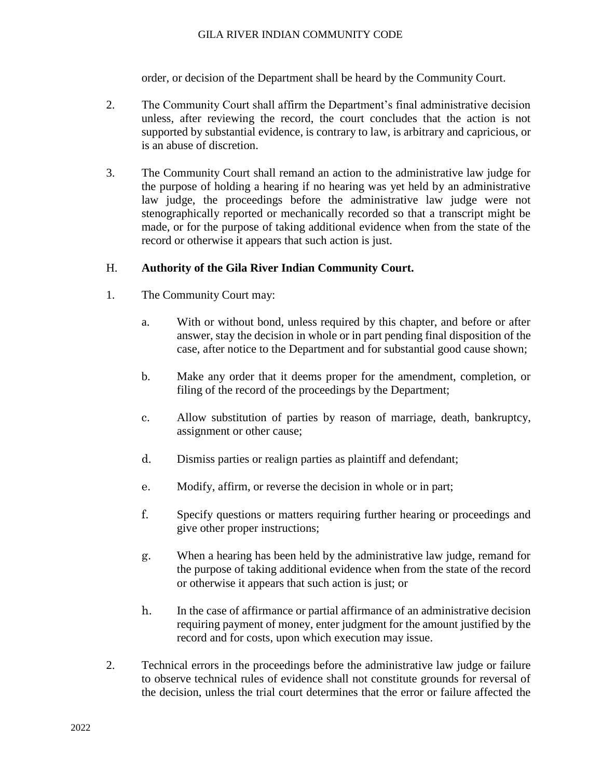## GILA RIVER INDIAN COMMUNITY CODE

order, or decision of the Department shall be heard by the Community Court.

- 2. The Community Court shall affirm the Department's final administrative decision unless, after reviewing the record, the court concludes that the action is not supported by substantial evidence, is contrary to law, is arbitrary and capricious, or is an abuse of discretion.
- 3. The Community Court shall remand an action to the administrative law judge for the purpose of holding a hearing if no hearing was yet held by an administrative law judge, the proceedings before the administrative law judge were not stenographically reported or mechanically recorded so that a transcript might be made, or for the purpose of taking additional evidence when from the state of the record or otherwise it appears that such action is just.

## H. **Authority of the Gila River Indian Community Court.**

- 1. The Community Court may:
	- a. With or without bond, unless required by this chapter, and before or after answer, stay the decision in whole or in part pending final disposition of the case, after notice to the Department and for substantial good cause shown;
	- b. Make any order that it deems proper for the amendment, completion, or filing of the record of the proceedings by the Department;
	- c. Allow substitution of parties by reason of marriage, death, bankruptcy, assignment or other cause;
	- d. Dismiss parties or realign parties as plaintiff and defendant;
	- e. Modify, affirm, or reverse the decision in whole or in part;
	- f. Specify questions or matters requiring further hearing or proceedings and give other proper instructions;
	- g. When a hearing has been held by the administrative law judge, remand for the purpose of taking additional evidence when from the state of the record or otherwise it appears that such action is just; or
	- h. In the case of affirmance or partial affirmance of an administrative decision requiring payment of money, enter judgment for the amount justified by the record and for costs, upon which execution may issue.
- 2. Technical errors in the proceedings before the administrative law judge or failure to observe technical rules of evidence shall not constitute grounds for reversal of the decision, unless the trial court determines that the error or failure affected the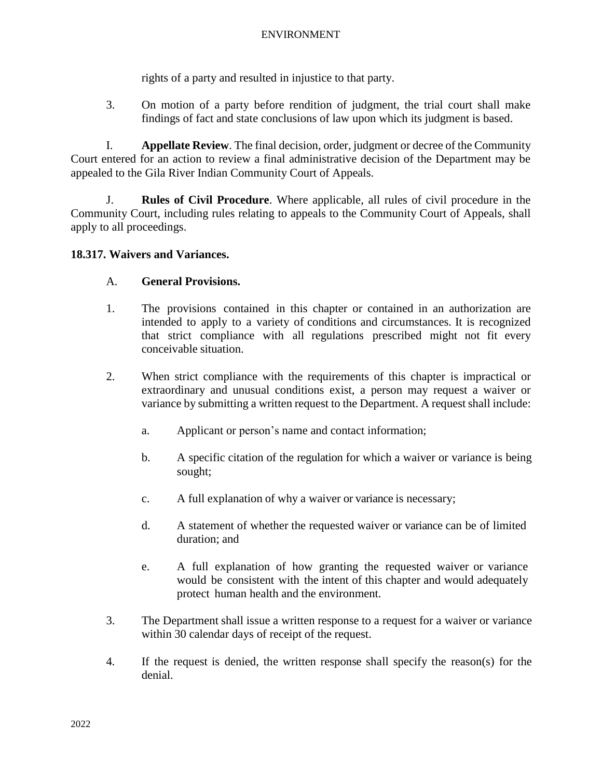rights of a party and resulted in injustice to that party.

3. On motion of a party before rendition of judgment, the trial court shall make findings of fact and state conclusions of law upon which its judgment is based.

I. **Appellate Review**. The final decision, order, judgment or decree of the Community Court entered for an action to review a final administrative decision of the Department may be appealed to the Gila River Indian Community Court of Appeals.

J. **Rules of Civil Procedure**. Where applicable, all rules of civil procedure in the Community Court, including rules relating to appeals to the Community Court of Appeals, shall apply to all proceedings.

## **18.317. Waivers and Variances.**

## A. **General Provisions.**

- 1. The provisions contained in this chapter or contained in an authorization are intended to apply to a variety of conditions and circumstances. It is recognized that strict compliance with all regulations prescribed might not fit every conceivable situation.
- 2. When strict compliance with the requirements of this chapter is impractical or extraordinary and unusual conditions exist, a person may request a waiver or variance by submitting a written request to the Department. A request shall include:
	- a. Applicant or person's name and contact information;
	- b. A specific citation of the regulation for which a waiver or variance is being sought;
	- c. A full explanation of why a waiver or variance is necessary;
	- d. A statement of whether the requested waiver or variance can be of limited duration; and
	- e. A full explanation of how granting the requested waiver or variance would be consistent with the intent of this chapter and would adequately protect human health and the environment.
- 3. The Department shall issue a written response to a request for a waiver or variance within 30 calendar days of receipt of the request.
- 4. If the request is denied, the written response shall specify the reason(s) for the denial.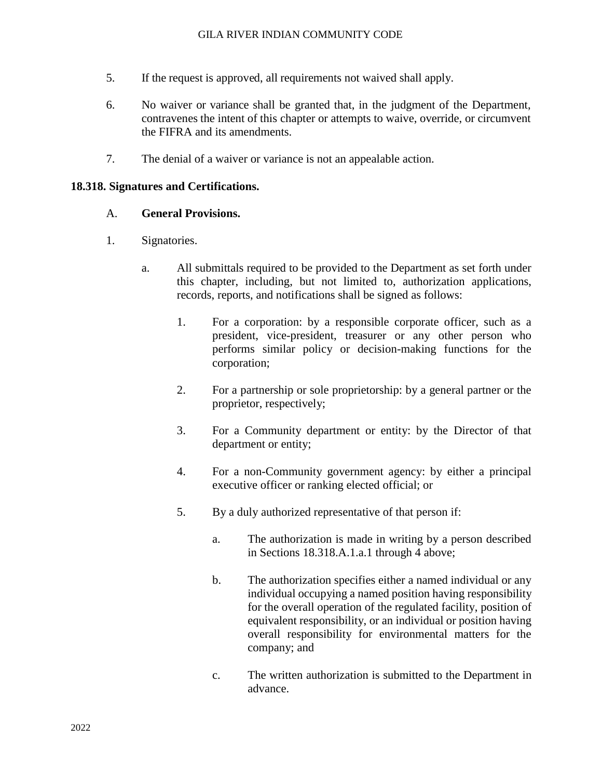- 5. If the request is approved, all requirements not waived shall apply.
- 6. No waiver or variance shall be granted that, in the judgment of the Department, contravenes the intent of this chapter or attempts to waive, override, or circumvent the FIFRA and its amendments.
- 7. The denial of a waiver or variance is not an appealable action.

#### **18.318. Signatures and Certifications.**

#### A. **General Provisions.**

- 1. Signatories.
	- a. All submittals required to be provided to the Department as set forth under this chapter, including, but not limited to, authorization applications, records, reports, and notifications shall be signed as follows:
		- 1. For a corporation: by a responsible corporate officer, such as a president, vice-president, treasurer or any other person who performs similar policy or decision-making functions for the corporation;
		- 2. For a partnership or sole proprietorship: by a general partner or the proprietor, respectively;
		- 3. For a Community department or entity: by the Director of that department or entity;
		- 4. For a non-Community government agency: by either a principal executive officer or ranking elected official; or
		- 5. By a duly authorized representative of that person if:
			- a. The authorization is made in writing by a person described in Sections 18.318.A.1.a.1 through 4 above;
			- b. The authorization specifies either a named individual or any individual occupying a named position having responsibility for the overall operation of the regulated facility, position of equivalent responsibility, or an individual or position having overall responsibility for environmental matters for the company; and
			- c. The written authorization is submitted to the Department in advance.